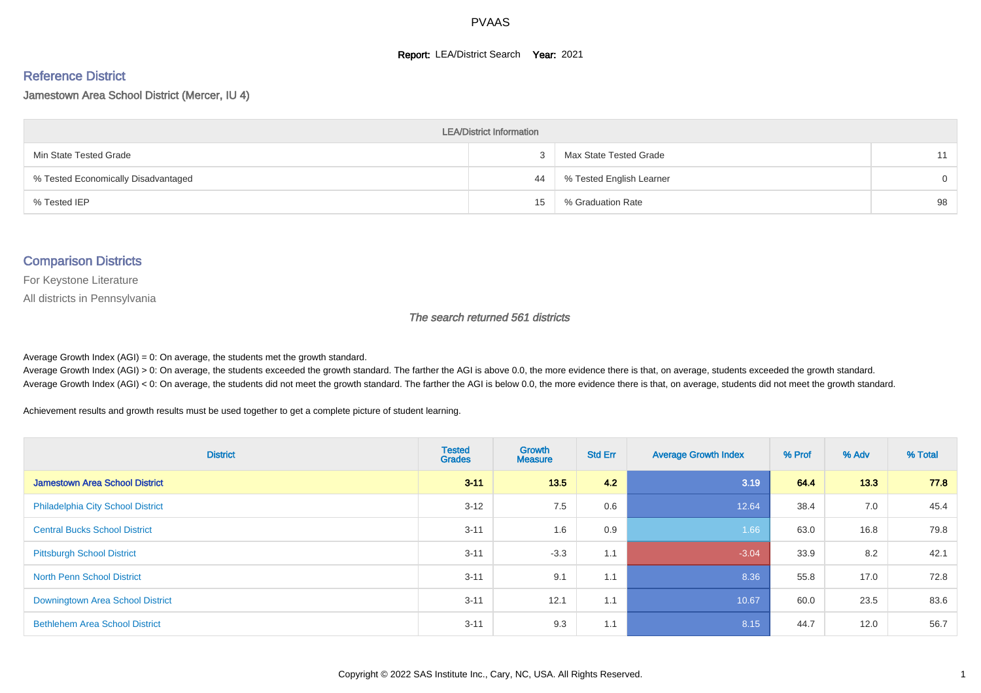#### **Report: LEA/District Search Year: 2021**

#### Reference District

#### Jamestown Area School District (Mercer, IU 4)

| <b>LEA/District Information</b>     |    |                          |          |  |  |  |  |  |  |  |
|-------------------------------------|----|--------------------------|----------|--|--|--|--|--|--|--|
| Min State Tested Grade              |    | Max State Tested Grade   | 11       |  |  |  |  |  |  |  |
| % Tested Economically Disadvantaged | 44 | % Tested English Learner | $\Omega$ |  |  |  |  |  |  |  |
| % Tested IEP                        | 15 | % Graduation Rate        | 98       |  |  |  |  |  |  |  |

#### Comparison Districts

For Keystone Literature

All districts in Pennsylvania

The search returned 561 districts

Average Growth Index  $(AGI) = 0$ : On average, the students met the growth standard.

Average Growth Index (AGI) > 0: On average, the students exceeded the growth standard. The farther the AGI is above 0.0, the more evidence there is that, on average, students exceeded the growth standard. Average Growth Index (AGI) < 0: On average, the students did not meet the growth standard. The farther the AGI is below 0.0, the more evidence there is that, on average, students did not meet the growth standard.

Achievement results and growth results must be used together to get a complete picture of student learning.

| <b>District</b>                          | <b>Tested</b><br><b>Grades</b> | <b>Growth</b><br><b>Measure</b> | <b>Std Err</b> | <b>Average Growth Index</b> | % Prof | % Adv | % Total |
|------------------------------------------|--------------------------------|---------------------------------|----------------|-----------------------------|--------|-------|---------|
| <b>Jamestown Area School District</b>    | $3 - 11$                       | 13.5                            | 4.2            | 3.19                        | 64.4   | 13.3  | 77.8    |
| <b>Philadelphia City School District</b> | $3 - 12$                       | 7.5                             | 0.6            | 12.64                       | 38.4   | 7.0   | 45.4    |
| <b>Central Bucks School District</b>     | $3 - 11$                       | 1.6                             | 0.9            | 1.66                        | 63.0   | 16.8  | 79.8    |
| <b>Pittsburgh School District</b>        | $3 - 11$                       | $-3.3$                          | 1.1            | $-3.04$                     | 33.9   | 8.2   | 42.1    |
| <b>North Penn School District</b>        | $3 - 11$                       | 9.1                             | 1.1            | 8.36                        | 55.8   | 17.0  | 72.8    |
| Downingtown Area School District         | $3 - 11$                       | 12.1                            | 1.1            | 10.67                       | 60.0   | 23.5  | 83.6    |
| <b>Bethlehem Area School District</b>    | $3 - 11$                       | 9.3                             | 1.1            | 8.15                        | 44.7   | 12.0  | 56.7    |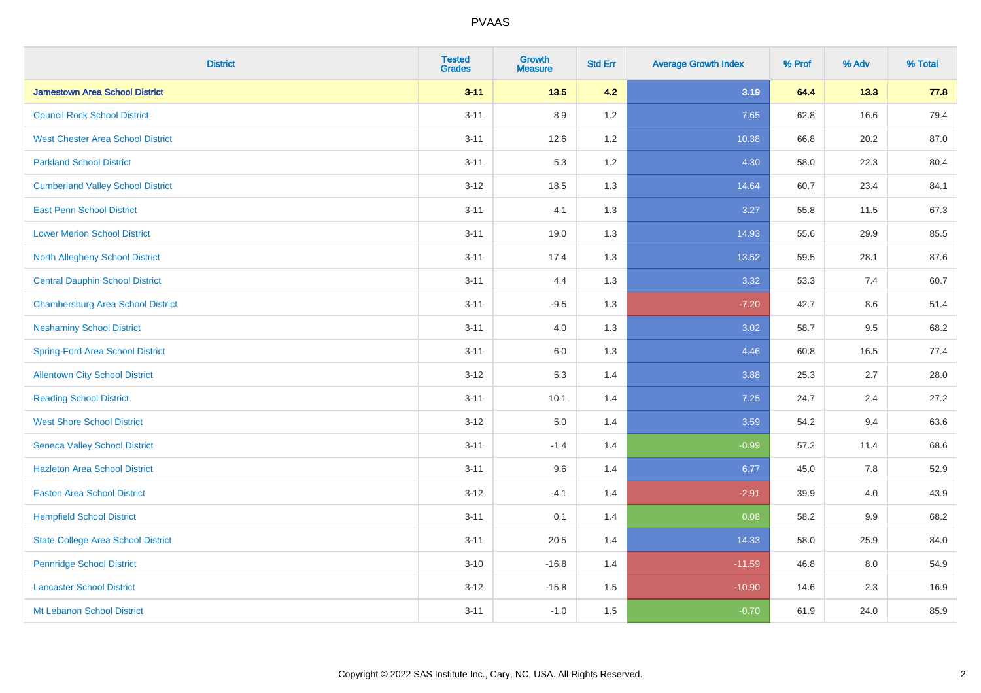| <b>District</b>                           | <b>Tested</b><br><b>Grades</b> | <b>Growth</b><br><b>Measure</b> | <b>Std Err</b> | <b>Average Growth Index</b> | % Prof | % Adv   | % Total |
|-------------------------------------------|--------------------------------|---------------------------------|----------------|-----------------------------|--------|---------|---------|
| <b>Jamestown Area School District</b>     | $3 - 11$                       | $13.5$                          | 4.2            | 3.19                        | 64.4   | 13.3    | 77.8    |
| <b>Council Rock School District</b>       | $3 - 11$                       | 8.9                             | 1.2            | 7.65                        | 62.8   | 16.6    | 79.4    |
| <b>West Chester Area School District</b>  | $3 - 11$                       | 12.6                            | 1.2            | 10.38                       | 66.8   | 20.2    | 87.0    |
| <b>Parkland School District</b>           | $3 - 11$                       | 5.3                             | 1.2            | 4.30                        | 58.0   | 22.3    | 80.4    |
| <b>Cumberland Valley School District</b>  | $3 - 12$                       | 18.5                            | 1.3            | 14.64                       | 60.7   | 23.4    | 84.1    |
| <b>East Penn School District</b>          | $3 - 11$                       | 4.1                             | 1.3            | 3.27                        | 55.8   | 11.5    | 67.3    |
| <b>Lower Merion School District</b>       | $3 - 11$                       | 19.0                            | 1.3            | 14.93                       | 55.6   | 29.9    | 85.5    |
| <b>North Allegheny School District</b>    | $3 - 11$                       | 17.4                            | 1.3            | 13.52                       | 59.5   | 28.1    | 87.6    |
| <b>Central Dauphin School District</b>    | $3 - 11$                       | 4.4                             | 1.3            | 3.32                        | 53.3   | 7.4     | 60.7    |
| <b>Chambersburg Area School District</b>  | $3 - 11$                       | $-9.5$                          | 1.3            | $-7.20$                     | 42.7   | 8.6     | 51.4    |
| <b>Neshaminy School District</b>          | $3 - 11$                       | 4.0                             | 1.3            | 3.02                        | 58.7   | 9.5     | 68.2    |
| <b>Spring-Ford Area School District</b>   | $3 - 11$                       | $6.0\,$                         | 1.3            | 4.46                        | 60.8   | 16.5    | 77.4    |
| <b>Allentown City School District</b>     | $3 - 12$                       | 5.3                             | 1.4            | 3.88                        | 25.3   | 2.7     | 28.0    |
| <b>Reading School District</b>            | $3 - 11$                       | 10.1                            | 1.4            | 7.25                        | 24.7   | 2.4     | 27.2    |
| <b>West Shore School District</b>         | $3 - 12$                       | $5.0\,$                         | 1.4            | 3.59                        | 54.2   | 9.4     | 63.6    |
| <b>Seneca Valley School District</b>      | $3 - 11$                       | $-1.4$                          | 1.4            | $-0.99$                     | 57.2   | 11.4    | 68.6    |
| <b>Hazleton Area School District</b>      | $3 - 11$                       | 9.6                             | 1.4            | 6.77                        | 45.0   | 7.8     | 52.9    |
| <b>Easton Area School District</b>        | $3 - 12$                       | $-4.1$                          | 1.4            | $-2.91$                     | 39.9   | 4.0     | 43.9    |
| <b>Hempfield School District</b>          | $3 - 11$                       | 0.1                             | 1.4            | 0.08                        | 58.2   | $9.9\,$ | 68.2    |
| <b>State College Area School District</b> | $3 - 11$                       | 20.5                            | 1.4            | 14.33                       | 58.0   | 25.9    | 84.0    |
| <b>Pennridge School District</b>          | $3 - 10$                       | $-16.8$                         | 1.4            | $-11.59$                    | 46.8   | 8.0     | 54.9    |
| <b>Lancaster School District</b>          | $3 - 12$                       | $-15.8$                         | 1.5            | $-10.90$                    | 14.6   | 2.3     | 16.9    |
| Mt Lebanon School District                | $3 - 11$                       | $-1.0$                          | 1.5            | $-0.70$                     | 61.9   | 24.0    | 85.9    |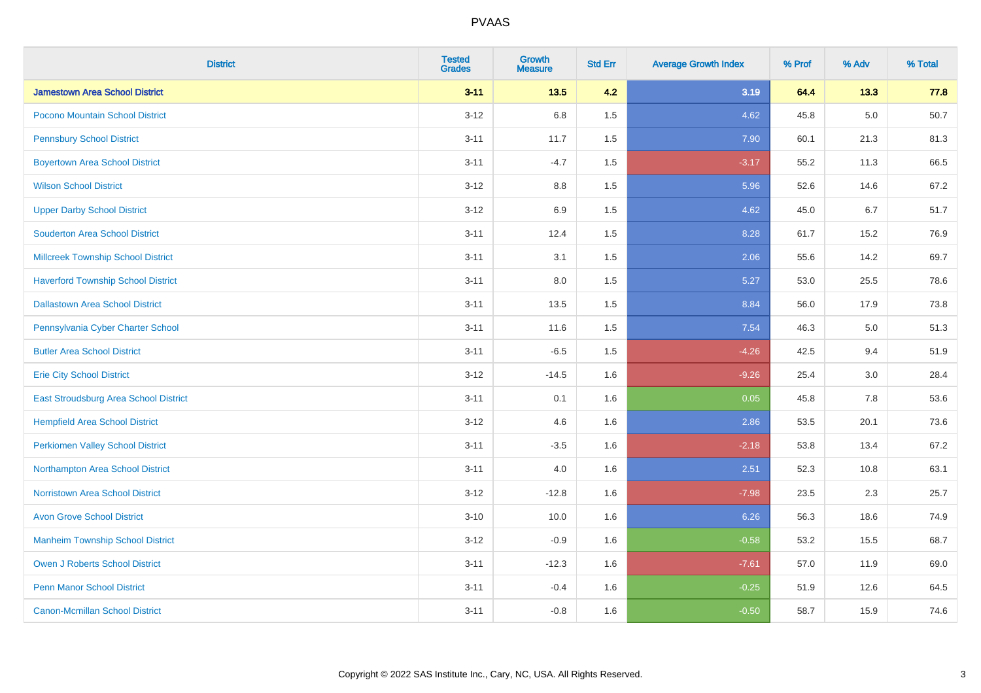| <b>District</b>                           | <b>Tested</b><br><b>Grades</b> | <b>Growth</b><br><b>Measure</b> | <b>Std Err</b> | <b>Average Growth Index</b> | % Prof | % Adv   | % Total |
|-------------------------------------------|--------------------------------|---------------------------------|----------------|-----------------------------|--------|---------|---------|
| <b>Jamestown Area School District</b>     | $3 - 11$                       | 13.5                            | 4.2            | 3.19                        | 64.4   | 13.3    | 77.8    |
| Pocono Mountain School District           | $3 - 12$                       | 6.8                             | 1.5            | 4.62                        | 45.8   | $5.0\,$ | 50.7    |
| <b>Pennsbury School District</b>          | $3 - 11$                       | 11.7                            | 1.5            | 7.90                        | 60.1   | 21.3    | 81.3    |
| <b>Boyertown Area School District</b>     | $3 - 11$                       | $-4.7$                          | 1.5            | $-3.17$                     | 55.2   | 11.3    | 66.5    |
| <b>Wilson School District</b>             | $3-12$                         | 8.8                             | 1.5            | 5.96                        | 52.6   | 14.6    | 67.2    |
| <b>Upper Darby School District</b>        | $3 - 12$                       | 6.9                             | 1.5            | 4.62                        | 45.0   | 6.7     | 51.7    |
| <b>Souderton Area School District</b>     | $3 - 11$                       | 12.4                            | 1.5            | 8.28                        | 61.7   | 15.2    | 76.9    |
| <b>Millcreek Township School District</b> | $3 - 11$                       | 3.1                             | 1.5            | 2.06                        | 55.6   | 14.2    | 69.7    |
| <b>Haverford Township School District</b> | $3 - 11$                       | 8.0                             | 1.5            | 5.27                        | 53.0   | 25.5    | 78.6    |
| <b>Dallastown Area School District</b>    | $3 - 11$                       | 13.5                            | 1.5            | 8.84                        | 56.0   | 17.9    | 73.8    |
| Pennsylvania Cyber Charter School         | $3 - 11$                       | 11.6                            | 1.5            | 7.54                        | 46.3   | 5.0     | 51.3    |
| <b>Butler Area School District</b>        | $3 - 11$                       | $-6.5$                          | 1.5            | $-4.26$                     | 42.5   | 9.4     | 51.9    |
| <b>Erie City School District</b>          | $3 - 12$                       | $-14.5$                         | 1.6            | $-9.26$                     | 25.4   | $3.0\,$ | 28.4    |
| East Stroudsburg Area School District     | $3 - 11$                       | 0.1                             | 1.6            | 0.05                        | 45.8   | 7.8     | 53.6    |
| <b>Hempfield Area School District</b>     | $3 - 12$                       | 4.6                             | 1.6            | 2.86                        | 53.5   | 20.1    | 73.6    |
| <b>Perkiomen Valley School District</b>   | $3 - 11$                       | $-3.5$                          | 1.6            | $-2.18$                     | 53.8   | 13.4    | 67.2    |
| Northampton Area School District          | $3 - 11$                       | 4.0                             | 1.6            | 2.51                        | 52.3   | 10.8    | 63.1    |
| <b>Norristown Area School District</b>    | $3 - 12$                       | $-12.8$                         | 1.6            | $-7.98$                     | 23.5   | 2.3     | 25.7    |
| <b>Avon Grove School District</b>         | $3 - 10$                       | 10.0                            | 1.6            | 6.26                        | 56.3   | 18.6    | 74.9    |
| <b>Manheim Township School District</b>   | $3 - 12$                       | $-0.9$                          | 1.6            | $-0.58$                     | 53.2   | 15.5    | 68.7    |
| <b>Owen J Roberts School District</b>     | $3 - 11$                       | $-12.3$                         | 1.6            | $-7.61$                     | 57.0   | 11.9    | 69.0    |
| <b>Penn Manor School District</b>         | $3 - 11$                       | $-0.4$                          | 1.6            | $-0.25$                     | 51.9   | 12.6    | 64.5    |
| <b>Canon-Mcmillan School District</b>     | $3 - 11$                       | $-0.8$                          | 1.6            | $-0.50$                     | 58.7   | 15.9    | 74.6    |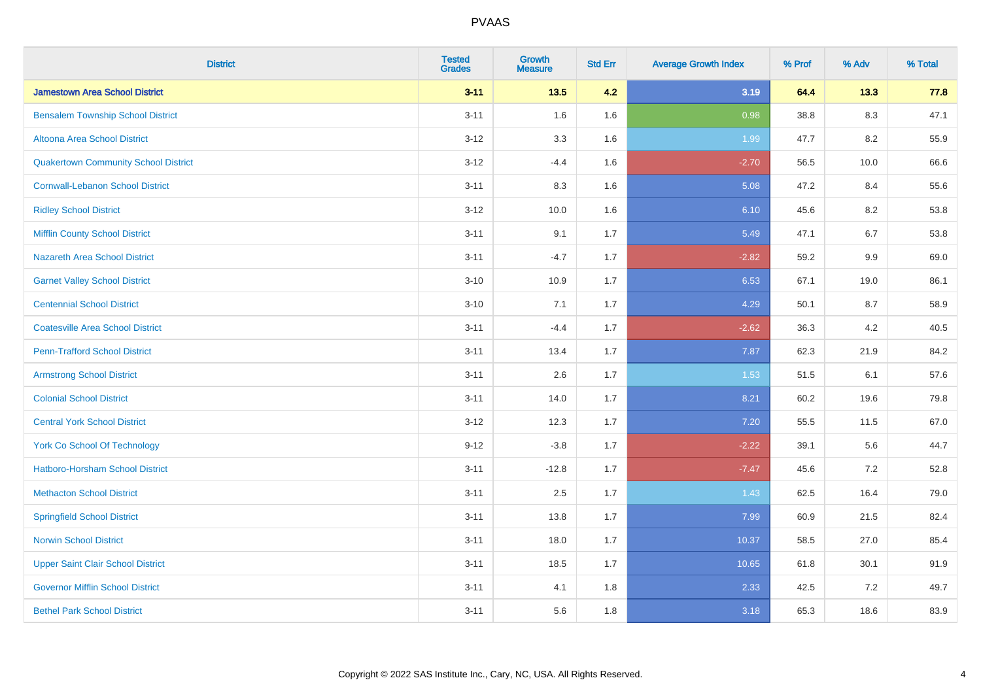| <b>District</b>                             | <b>Tested</b><br><b>Grades</b> | <b>Growth</b><br><b>Measure</b> | <b>Std Err</b> | <b>Average Growth Index</b> | % Prof | % Adv   | % Total |
|---------------------------------------------|--------------------------------|---------------------------------|----------------|-----------------------------|--------|---------|---------|
| <b>Jamestown Area School District</b>       | $3 - 11$                       | $13.5$                          | 4.2            | 3.19                        | 64.4   | 13.3    | 77.8    |
| <b>Bensalem Township School District</b>    | $3 - 11$                       | 1.6                             | 1.6            | 0.98                        | 38.8   | $8.3\,$ | 47.1    |
| Altoona Area School District                | $3 - 12$                       | 3.3                             | 1.6            | 1.99                        | 47.7   | 8.2     | 55.9    |
| <b>Quakertown Community School District</b> | $3 - 12$                       | $-4.4$                          | 1.6            | $-2.70$                     | 56.5   | 10.0    | 66.6    |
| <b>Cornwall-Lebanon School District</b>     | $3 - 11$                       | 8.3                             | 1.6            | 5.08                        | 47.2   | 8.4     | 55.6    |
| <b>Ridley School District</b>               | $3 - 12$                       | 10.0                            | 1.6            | 6.10                        | 45.6   | 8.2     | 53.8    |
| <b>Mifflin County School District</b>       | $3 - 11$                       | 9.1                             | 1.7            | 5.49                        | 47.1   | 6.7     | 53.8    |
| <b>Nazareth Area School District</b>        | $3 - 11$                       | $-4.7$                          | 1.7            | $-2.82$                     | 59.2   | 9.9     | 69.0    |
| <b>Garnet Valley School District</b>        | $3 - 10$                       | 10.9                            | 1.7            | 6.53                        | 67.1   | 19.0    | 86.1    |
| <b>Centennial School District</b>           | $3 - 10$                       | 7.1                             | 1.7            | 4.29                        | 50.1   | 8.7     | 58.9    |
| <b>Coatesville Area School District</b>     | $3 - 11$                       | $-4.4$                          | 1.7            | $-2.62$                     | 36.3   | 4.2     | 40.5    |
| <b>Penn-Trafford School District</b>        | $3 - 11$                       | 13.4                            | 1.7            | 7.87                        | 62.3   | 21.9    | 84.2    |
| <b>Armstrong School District</b>            | $3 - 11$                       | 2.6                             | 1.7            | 1.53                        | 51.5   | 6.1     | 57.6    |
| <b>Colonial School District</b>             | $3 - 11$                       | 14.0                            | 1.7            | 8.21                        | 60.2   | 19.6    | 79.8    |
| <b>Central York School District</b>         | $3 - 12$                       | 12.3                            | 1.7            | 7.20                        | 55.5   | 11.5    | 67.0    |
| <b>York Co School Of Technology</b>         | $9 - 12$                       | $-3.8$                          | 1.7            | $-2.22$                     | 39.1   | 5.6     | 44.7    |
| <b>Hatboro-Horsham School District</b>      | $3 - 11$                       | $-12.8$                         | 1.7            | $-7.47$                     | 45.6   | 7.2     | 52.8    |
| <b>Methacton School District</b>            | $3 - 11$                       | 2.5                             | 1.7            | 1.43                        | 62.5   | 16.4    | 79.0    |
| <b>Springfield School District</b>          | $3 - 11$                       | 13.8                            | 1.7            | 7.99                        | 60.9   | 21.5    | 82.4    |
| <b>Norwin School District</b>               | $3 - 11$                       | 18.0                            | 1.7            | 10.37                       | 58.5   | 27.0    | 85.4    |
| <b>Upper Saint Clair School District</b>    | $3 - 11$                       | 18.5                            | 1.7            | 10.65                       | 61.8   | 30.1    | 91.9    |
| <b>Governor Mifflin School District</b>     | $3 - 11$                       | 4.1                             | 1.8            | 2.33                        | 42.5   | 7.2     | 49.7    |
| <b>Bethel Park School District</b>          | $3 - 11$                       | 5.6                             | 1.8            | 3.18                        | 65.3   | 18.6    | 83.9    |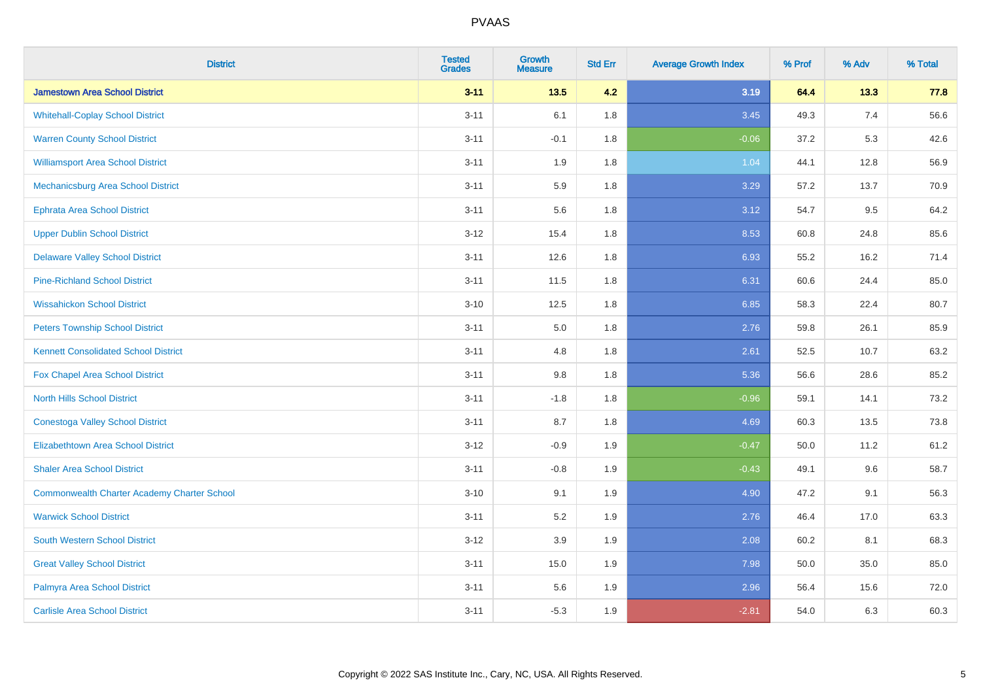| <b>District</b>                                    | <b>Tested</b><br><b>Grades</b> | <b>Growth</b><br><b>Measure</b> | <b>Std Err</b> | <b>Average Growth Index</b> | % Prof | % Adv | % Total |
|----------------------------------------------------|--------------------------------|---------------------------------|----------------|-----------------------------|--------|-------|---------|
| <b>Jamestown Area School District</b>              | $3 - 11$                       | $13.5$                          | 4.2            | 3.19                        | 64.4   | 13.3  | 77.8    |
| <b>Whitehall-Coplay School District</b>            | $3 - 11$                       | 6.1                             | 1.8            | 3.45                        | 49.3   | 7.4   | 56.6    |
| <b>Warren County School District</b>               | $3 - 11$                       | $-0.1$                          | 1.8            | $-0.06$                     | 37.2   | 5.3   | 42.6    |
| <b>Williamsport Area School District</b>           | $3 - 11$                       | 1.9                             | 1.8            | 1.04                        | 44.1   | 12.8  | 56.9    |
| Mechanicsburg Area School District                 | $3 - 11$                       | 5.9                             | 1.8            | 3.29                        | 57.2   | 13.7  | 70.9    |
| <b>Ephrata Area School District</b>                | $3 - 11$                       | 5.6                             | 1.8            | 3.12                        | 54.7   | 9.5   | 64.2    |
| <b>Upper Dublin School District</b>                | $3 - 12$                       | 15.4                            | 1.8            | 8.53                        | 60.8   | 24.8  | 85.6    |
| <b>Delaware Valley School District</b>             | $3 - 11$                       | 12.6                            | 1.8            | 6.93                        | 55.2   | 16.2  | 71.4    |
| <b>Pine-Richland School District</b>               | $3 - 11$                       | 11.5                            | 1.8            | 6.31                        | 60.6   | 24.4  | 85.0    |
| <b>Wissahickon School District</b>                 | $3 - 10$                       | 12.5                            | 1.8            | 6.85                        | 58.3   | 22.4  | 80.7    |
| <b>Peters Township School District</b>             | $3 - 11$                       | 5.0                             | 1.8            | 2.76                        | 59.8   | 26.1  | 85.9    |
| <b>Kennett Consolidated School District</b>        | $3 - 11$                       | 4.8                             | 1.8            | 2.61                        | 52.5   | 10.7  | 63.2    |
| Fox Chapel Area School District                    | $3 - 11$                       | $9.8\,$                         | 1.8            | 5.36                        | 56.6   | 28.6  | 85.2    |
| <b>North Hills School District</b>                 | $3 - 11$                       | $-1.8$                          | 1.8            | $-0.96$                     | 59.1   | 14.1  | 73.2    |
| <b>Conestoga Valley School District</b>            | $3 - 11$                       | 8.7                             | 1.8            | 4.69                        | 60.3   | 13.5  | 73.8    |
| <b>Elizabethtown Area School District</b>          | $3 - 12$                       | $-0.9$                          | 1.9            | $-0.47$                     | 50.0   | 11.2  | 61.2    |
| <b>Shaler Area School District</b>                 | $3 - 11$                       | $-0.8$                          | 1.9            | $-0.43$                     | 49.1   | 9.6   | 58.7    |
| <b>Commonwealth Charter Academy Charter School</b> | $3 - 10$                       | 9.1                             | 1.9            | 4.90                        | 47.2   | 9.1   | 56.3    |
| <b>Warwick School District</b>                     | $3 - 11$                       | 5.2                             | 1.9            | 2.76                        | 46.4   | 17.0  | 63.3    |
| <b>South Western School District</b>               | $3 - 12$                       | 3.9                             | 1.9            | 2.08                        | 60.2   | 8.1   | 68.3    |
| <b>Great Valley School District</b>                | $3 - 11$                       | 15.0                            | 1.9            | 7.98                        | 50.0   | 35.0  | 85.0    |
| Palmyra Area School District                       | $3 - 11$                       | 5.6                             | 1.9            | 2.96                        | 56.4   | 15.6  | 72.0    |
| <b>Carlisle Area School District</b>               | $3 - 11$                       | $-5.3$                          | 1.9            | $-2.81$                     | 54.0   | 6.3   | 60.3    |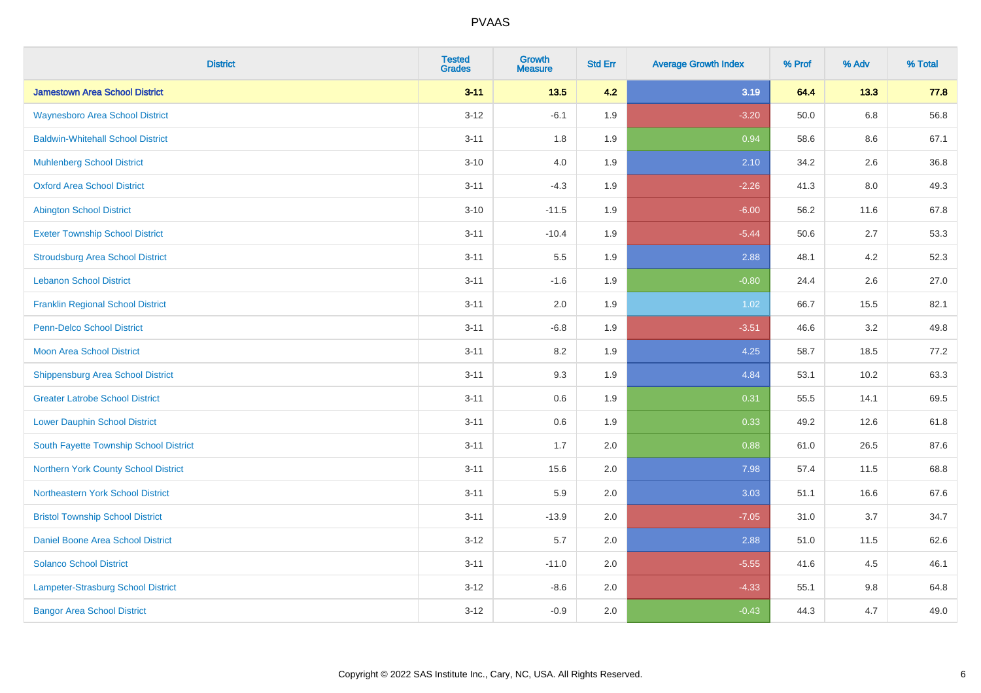| <b>District</b>                          | <b>Tested</b><br><b>Grades</b> | <b>Growth</b><br><b>Measure</b> | <b>Std Err</b> | <b>Average Growth Index</b> | % Prof | % Adv   | % Total |
|------------------------------------------|--------------------------------|---------------------------------|----------------|-----------------------------|--------|---------|---------|
| <b>Jamestown Area School District</b>    | $3 - 11$                       | $13.5$                          | 4.2            | 3.19                        | 64.4   | 13.3    | 77.8    |
| <b>Waynesboro Area School District</b>   | $3 - 12$                       | $-6.1$                          | 1.9            | $-3.20$                     | 50.0   | $6.8\,$ | 56.8    |
| <b>Baldwin-Whitehall School District</b> | $3 - 11$                       | 1.8                             | 1.9            | 0.94                        | 58.6   | 8.6     | 67.1    |
| <b>Muhlenberg School District</b>        | $3 - 10$                       | 4.0                             | 1.9            | 2.10                        | 34.2   | 2.6     | 36.8    |
| <b>Oxford Area School District</b>       | $3 - 11$                       | $-4.3$                          | 1.9            | $-2.26$                     | 41.3   | 8.0     | 49.3    |
| <b>Abington School District</b>          | $3 - 10$                       | $-11.5$                         | 1.9            | $-6.00$                     | 56.2   | 11.6    | 67.8    |
| <b>Exeter Township School District</b>   | $3 - 11$                       | $-10.4$                         | 1.9            | $-5.44$                     | 50.6   | 2.7     | 53.3    |
| <b>Stroudsburg Area School District</b>  | $3 - 11$                       | $5.5\,$                         | 1.9            | 2.88                        | 48.1   | 4.2     | 52.3    |
| <b>Lebanon School District</b>           | $3 - 11$                       | $-1.6$                          | 1.9            | $-0.80$                     | 24.4   | 2.6     | 27.0    |
| <b>Franklin Regional School District</b> | $3 - 11$                       | 2.0                             | 1.9            | 1.02                        | 66.7   | 15.5    | 82.1    |
| <b>Penn-Delco School District</b>        | $3 - 11$                       | $-6.8$                          | 1.9            | $-3.51$                     | 46.6   | 3.2     | 49.8    |
| <b>Moon Area School District</b>         | $3 - 11$                       | 8.2                             | 1.9            | 4.25                        | 58.7   | 18.5    | 77.2    |
| <b>Shippensburg Area School District</b> | $3 - 11$                       | 9.3                             | 1.9            | 4.84                        | 53.1   | 10.2    | 63.3    |
| <b>Greater Latrobe School District</b>   | $3 - 11$                       | 0.6                             | 1.9            | 0.31                        | 55.5   | 14.1    | 69.5    |
| <b>Lower Dauphin School District</b>     | $3 - 11$                       | 0.6                             | 1.9            | 0.33                        | 49.2   | 12.6    | 61.8    |
| South Fayette Township School District   | $3 - 11$                       | 1.7                             | 2.0            | 0.88                        | 61.0   | 26.5    | 87.6    |
| Northern York County School District     | $3 - 11$                       | 15.6                            | 2.0            | 7.98                        | 57.4   | 11.5    | 68.8    |
| Northeastern York School District        | $3 - 11$                       | 5.9                             | 2.0            | 3.03                        | 51.1   | 16.6    | 67.6    |
| <b>Bristol Township School District</b>  | $3 - 11$                       | $-13.9$                         | 2.0            | $-7.05$                     | 31.0   | 3.7     | 34.7    |
| <b>Daniel Boone Area School District</b> | $3 - 12$                       | 5.7                             | 2.0            | 2.88                        | 51.0   | 11.5    | 62.6    |
| <b>Solanco School District</b>           | $3 - 11$                       | $-11.0$                         | 2.0            | $-5.55$                     | 41.6   | 4.5     | 46.1    |
| Lampeter-Strasburg School District       | $3 - 12$                       | $-8.6$                          | 2.0            | $-4.33$                     | 55.1   | 9.8     | 64.8    |
| <b>Bangor Area School District</b>       | $3 - 12$                       | $-0.9$                          | 2.0            | $-0.43$                     | 44.3   | 4.7     | 49.0    |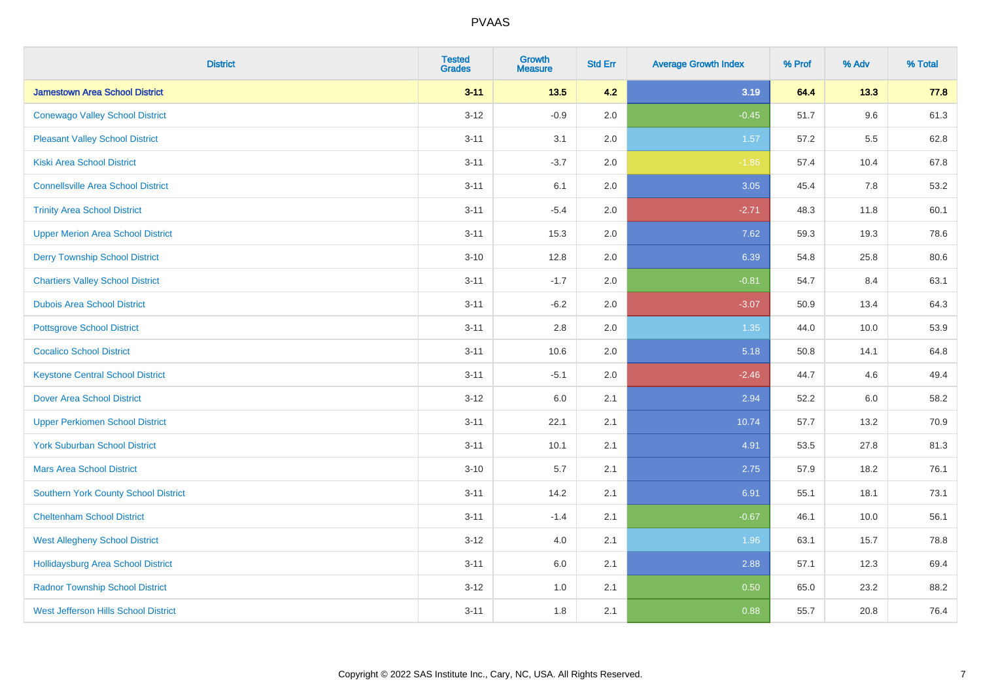| <b>District</b>                             | <b>Tested</b><br><b>Grades</b> | Growth<br><b>Measure</b> | <b>Std Err</b> | <b>Average Growth Index</b> | % Prof | % Adv | % Total |
|---------------------------------------------|--------------------------------|--------------------------|----------------|-----------------------------|--------|-------|---------|
| <b>Jamestown Area School District</b>       | $3 - 11$                       | 13.5                     | 4.2            | 3.19                        | 64.4   | 13.3  | 77.8    |
| <b>Conewago Valley School District</b>      | $3 - 12$                       | $-0.9$                   | 2.0            | $-0.45$                     | 51.7   | 9.6   | 61.3    |
| <b>Pleasant Valley School District</b>      | $3 - 11$                       | 3.1                      | 2.0            | 1.57                        | 57.2   | 5.5   | 62.8    |
| <b>Kiski Area School District</b>           | $3 - 11$                       | $-3.7$                   | 2.0            | $-1.86$                     | 57.4   | 10.4  | 67.8    |
| <b>Connellsville Area School District</b>   | $3 - 11$                       | 6.1                      | 2.0            | 3.05                        | 45.4   | 7.8   | 53.2    |
| <b>Trinity Area School District</b>         | $3 - 11$                       | $-5.4$                   | 2.0            | $-2.71$                     | 48.3   | 11.8  | 60.1    |
| <b>Upper Merion Area School District</b>    | $3 - 11$                       | 15.3                     | 2.0            | 7.62                        | 59.3   | 19.3  | 78.6    |
| <b>Derry Township School District</b>       | $3 - 10$                       | 12.8                     | 2.0            | 6.39                        | 54.8   | 25.8  | 80.6    |
| <b>Chartiers Valley School District</b>     | $3 - 11$                       | $-1.7$                   | 2.0            | $-0.81$                     | 54.7   | 8.4   | 63.1    |
| <b>Dubois Area School District</b>          | $3 - 11$                       | $-6.2$                   | 2.0            | $-3.07$                     | 50.9   | 13.4  | 64.3    |
| <b>Pottsgrove School District</b>           | $3 - 11$                       | 2.8                      | 2.0            | 1.35                        | 44.0   | 10.0  | 53.9    |
| <b>Cocalico School District</b>             | $3 - 11$                       | 10.6                     | 2.0            | 5.18                        | 50.8   | 14.1  | 64.8    |
| <b>Keystone Central School District</b>     | $3 - 11$                       | $-5.1$                   | 2.0            | $-2.46$                     | 44.7   | 4.6   | 49.4    |
| <b>Dover Area School District</b>           | $3 - 12$                       | 6.0                      | 2.1            | 2.94                        | 52.2   | 6.0   | 58.2    |
| <b>Upper Perkiomen School District</b>      | $3 - 11$                       | 22.1                     | 2.1            | 10.74                       | 57.7   | 13.2  | 70.9    |
| <b>York Suburban School District</b>        | $3 - 11$                       | 10.1                     | 2.1            | 4.91                        | 53.5   | 27.8  | 81.3    |
| <b>Mars Area School District</b>            | $3 - 10$                       | 5.7                      | 2.1            | 2.75                        | 57.9   | 18.2  | 76.1    |
| Southern York County School District        | $3 - 11$                       | 14.2                     | 2.1            | 6.91                        | 55.1   | 18.1  | 73.1    |
| <b>Cheltenham School District</b>           | $3 - 11$                       | $-1.4$                   | 2.1            | $-0.67$                     | 46.1   | 10.0  | 56.1    |
| <b>West Allegheny School District</b>       | $3 - 12$                       | 4.0                      | 2.1            | 1.96                        | 63.1   | 15.7  | 78.8    |
| <b>Hollidaysburg Area School District</b>   | $3 - 11$                       | 6.0                      | 2.1            | 2.88                        | 57.1   | 12.3  | 69.4    |
| <b>Radnor Township School District</b>      | $3 - 12$                       | 1.0                      | 2.1            | 0.50                        | 65.0   | 23.2  | 88.2    |
| <b>West Jefferson Hills School District</b> | $3 - 11$                       | 1.8                      | 2.1            | 0.88                        | 55.7   | 20.8  | 76.4    |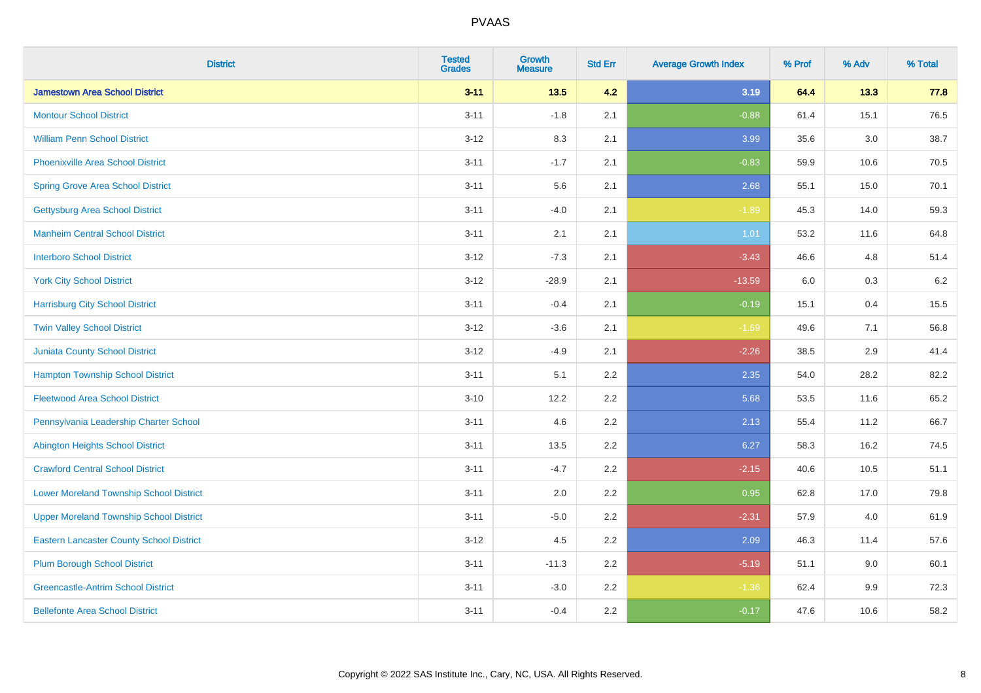| <b>District</b>                                 | <b>Tested</b><br><b>Grades</b> | <b>Growth</b><br><b>Measure</b> | <b>Std Err</b> | <b>Average Growth Index</b> | % Prof | % Adv   | % Total |
|-------------------------------------------------|--------------------------------|---------------------------------|----------------|-----------------------------|--------|---------|---------|
| <b>Jamestown Area School District</b>           | $3 - 11$                       | 13.5                            | 4.2            | 3.19                        | 64.4   | 13.3    | 77.8    |
| <b>Montour School District</b>                  | $3 - 11$                       | $-1.8$                          | 2.1            | $-0.88$                     | 61.4   | 15.1    | 76.5    |
| <b>William Penn School District</b>             | $3-12$                         | 8.3                             | 2.1            | 3.99                        | 35.6   | $3.0\,$ | 38.7    |
| Phoenixville Area School District               | $3 - 11$                       | $-1.7$                          | 2.1            | $-0.83$                     | 59.9   | 10.6    | 70.5    |
| <b>Spring Grove Area School District</b>        | $3 - 11$                       | 5.6                             | 2.1            | 2.68                        | 55.1   | 15.0    | 70.1    |
| <b>Gettysburg Area School District</b>          | $3 - 11$                       | $-4.0$                          | 2.1            | $-1.89$                     | 45.3   | 14.0    | 59.3    |
| <b>Manheim Central School District</b>          | $3 - 11$                       | 2.1                             | 2.1            | 1.01                        | 53.2   | 11.6    | 64.8    |
| <b>Interboro School District</b>                | $3 - 12$                       | $-7.3$                          | 2.1            | $-3.43$                     | 46.6   | 4.8     | 51.4    |
| <b>York City School District</b>                | $3-12$                         | $-28.9$                         | 2.1            | $-13.59$                    | 6.0    | $0.3\,$ | 6.2     |
| <b>Harrisburg City School District</b>          | $3 - 11$                       | $-0.4$                          | 2.1            | $-0.19$                     | 15.1   | 0.4     | 15.5    |
| <b>Twin Valley School District</b>              | $3 - 12$                       | $-3.6$                          | 2.1            | $-1.69$                     | 49.6   | 7.1     | 56.8    |
| Juniata County School District                  | $3 - 12$                       | $-4.9$                          | 2.1            | $-2.26$                     | 38.5   | 2.9     | 41.4    |
| <b>Hampton Township School District</b>         | $3 - 11$                       | 5.1                             | 2.2            | 2.35                        | 54.0   | 28.2    | 82.2    |
| <b>Fleetwood Area School District</b>           | $3 - 10$                       | 12.2                            | 2.2            | 5.68                        | 53.5   | 11.6    | 65.2    |
| Pennsylvania Leadership Charter School          | $3 - 11$                       | 4.6                             | 2.2            | 2.13                        | 55.4   | 11.2    | 66.7    |
| <b>Abington Heights School District</b>         | $3 - 11$                       | 13.5                            | 2.2            | 6.27                        | 58.3   | 16.2    | 74.5    |
| <b>Crawford Central School District</b>         | $3 - 11$                       | $-4.7$                          | 2.2            | $-2.15$                     | 40.6   | 10.5    | 51.1    |
| <b>Lower Moreland Township School District</b>  | $3 - 11$                       | 2.0                             | 2.2            | 0.95                        | 62.8   | 17.0    | 79.8    |
| <b>Upper Moreland Township School District</b>  | $3 - 11$                       | $-5.0$                          | 2.2            | $-2.31$                     | 57.9   | 4.0     | 61.9    |
| <b>Eastern Lancaster County School District</b> | $3 - 12$                       | 4.5                             | 2.2            | 2.09                        | 46.3   | 11.4    | 57.6    |
| <b>Plum Borough School District</b>             | $3 - 11$                       | $-11.3$                         | 2.2            | $-5.19$                     | 51.1   | 9.0     | 60.1    |
| <b>Greencastle-Antrim School District</b>       | $3 - 11$                       | $-3.0$                          | 2.2            | $-1.36$                     | 62.4   | 9.9     | 72.3    |
| <b>Bellefonte Area School District</b>          | $3 - 11$                       | $-0.4$                          | 2.2            | $-0.17$                     | 47.6   | 10.6    | 58.2    |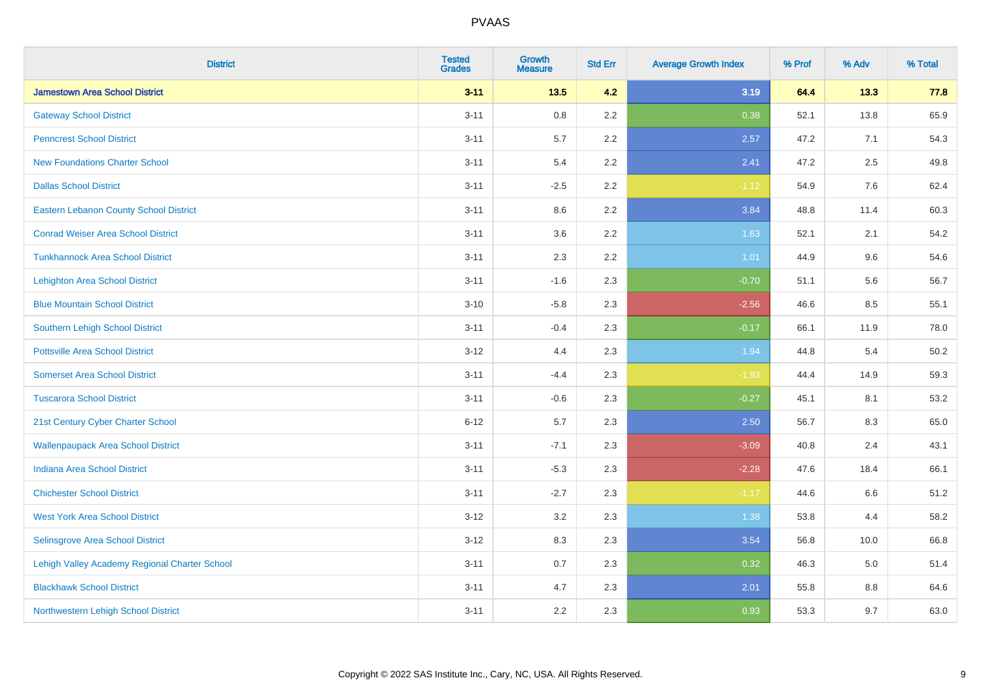| <b>District</b>                               | <b>Tested</b><br><b>Grades</b> | <b>Growth</b><br><b>Measure</b> | <b>Std Err</b> | <b>Average Growth Index</b> | % Prof | % Adv | % Total |
|-----------------------------------------------|--------------------------------|---------------------------------|----------------|-----------------------------|--------|-------|---------|
| <b>Jamestown Area School District</b>         | $3 - 11$                       | $13.5$                          | 4.2            | 3.19                        | 64.4   | 13.3  | 77.8    |
| <b>Gateway School District</b>                | $3 - 11$                       | $0.8\,$                         | 2.2            | 0.38                        | 52.1   | 13.8  | 65.9    |
| <b>Penncrest School District</b>              | $3 - 11$                       | 5.7                             | 2.2            | 2.57                        | 47.2   | 7.1   | 54.3    |
| <b>New Foundations Charter School</b>         | $3 - 11$                       | 5.4                             | 2.2            | 2.41                        | 47.2   | 2.5   | 49.8    |
| <b>Dallas School District</b>                 | $3 - 11$                       | $-2.5$                          | 2.2            | $-1.12$                     | 54.9   | 7.6   | 62.4    |
| <b>Eastern Lebanon County School District</b> | $3 - 11$                       | 8.6                             | 2.2            | 3.84                        | 48.8   | 11.4  | 60.3    |
| <b>Conrad Weiser Area School District</b>     | $3 - 11$                       | 3.6                             | 2.2            | 1.63                        | 52.1   | 2.1   | 54.2    |
| <b>Tunkhannock Area School District</b>       | $3 - 11$                       | 2.3                             | 2.2            | 1.01                        | 44.9   | 9.6   | 54.6    |
| <b>Lehighton Area School District</b>         | $3 - 11$                       | $-1.6$                          | 2.3            | $-0.70$                     | 51.1   | 5.6   | 56.7    |
| <b>Blue Mountain School District</b>          | $3 - 10$                       | $-5.8$                          | 2.3            | $-2.56$                     | 46.6   | 8.5   | 55.1    |
| Southern Lehigh School District               | $3 - 11$                       | $-0.4$                          | 2.3            | $-0.17$                     | 66.1   | 11.9  | 78.0    |
| <b>Pottsville Area School District</b>        | $3 - 12$                       | 4.4                             | 2.3            | 1.94                        | 44.8   | 5.4   | 50.2    |
| <b>Somerset Area School District</b>          | $3 - 11$                       | $-4.4$                          | 2.3            | $-1.93$                     | 44.4   | 14.9  | 59.3    |
| <b>Tuscarora School District</b>              | $3 - 11$                       | $-0.6$                          | 2.3            | $-0.27$                     | 45.1   | 8.1   | 53.2    |
| 21st Century Cyber Charter School             | $6 - 12$                       | 5.7                             | 2.3            | 2.50                        | 56.7   | 8.3   | 65.0    |
| <b>Wallenpaupack Area School District</b>     | $3 - 11$                       | $-7.1$                          | 2.3            | $-3.09$                     | 40.8   | 2.4   | 43.1    |
| <b>Indiana Area School District</b>           | $3 - 11$                       | $-5.3$                          | 2.3            | $-2.28$                     | 47.6   | 18.4  | 66.1    |
| <b>Chichester School District</b>             | $3 - 11$                       | $-2.7$                          | 2.3            | $-1.17$                     | 44.6   | 6.6   | 51.2    |
| <b>West York Area School District</b>         | $3 - 12$                       | 3.2                             | 2.3            | 1.38                        | 53.8   | 4.4   | 58.2    |
| Selinsgrove Area School District              | $3 - 12$                       | 8.3                             | 2.3            | 3.54                        | 56.8   | 10.0  | 66.8    |
| Lehigh Valley Academy Regional Charter School | $3 - 11$                       | 0.7                             | 2.3            | 0.32                        | 46.3   | 5.0   | 51.4    |
| <b>Blackhawk School District</b>              | $3 - 11$                       | 4.7                             | 2.3            | 2.01                        | 55.8   | 8.8   | 64.6    |
| Northwestern Lehigh School District           | $3 - 11$                       | 2.2                             | 2.3            | 0.93                        | 53.3   | 9.7   | 63.0    |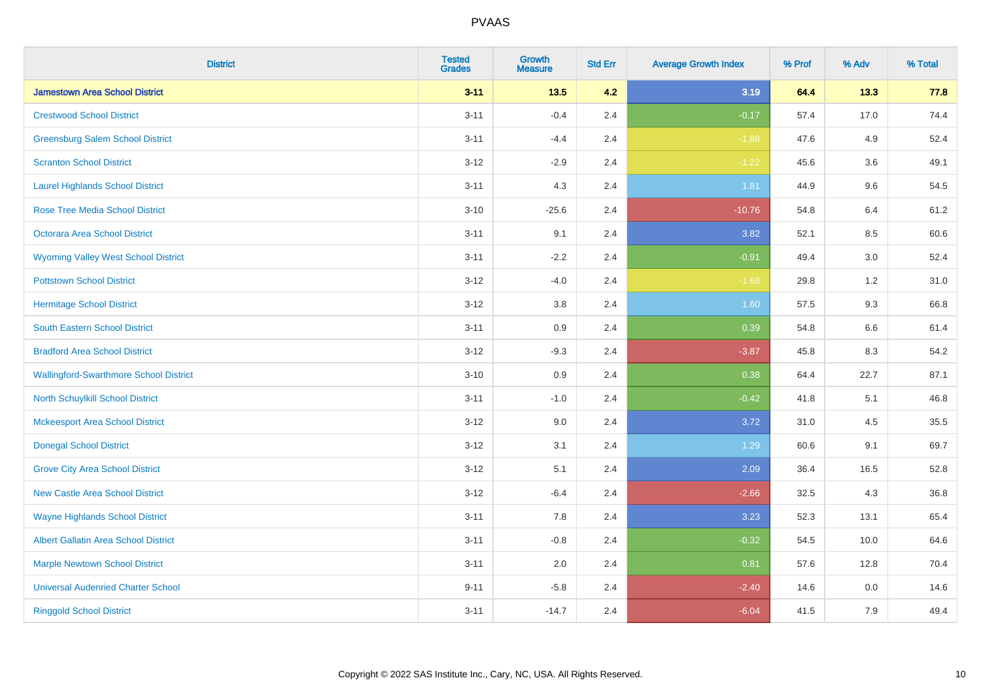| <b>District</b>                               | <b>Tested</b><br><b>Grades</b> | <b>Growth</b><br><b>Measure</b> | <b>Std Err</b> | <b>Average Growth Index</b> | % Prof | % Adv   | % Total |
|-----------------------------------------------|--------------------------------|---------------------------------|----------------|-----------------------------|--------|---------|---------|
| <b>Jamestown Area School District</b>         | $3 - 11$                       | $13.5$                          | 4.2            | 3.19                        | 64.4   | 13.3    | 77.8    |
| <b>Crestwood School District</b>              | $3 - 11$                       | $-0.4$                          | 2.4            | $-0.17$                     | 57.4   | 17.0    | 74.4    |
| <b>Greensburg Salem School District</b>       | $3 - 11$                       | $-4.4$                          | 2.4            | $-1.88$                     | 47.6   | 4.9     | 52.4    |
| <b>Scranton School District</b>               | $3 - 12$                       | $-2.9$                          | 2.4            | $-1.22$                     | 45.6   | 3.6     | 49.1    |
| <b>Laurel Highlands School District</b>       | $3 - 11$                       | 4.3                             | 2.4            | 1.81                        | 44.9   | 9.6     | 54.5    |
| <b>Rose Tree Media School District</b>        | $3 - 10$                       | $-25.6$                         | 2.4            | $-10.76$                    | 54.8   | 6.4     | 61.2    |
| Octorara Area School District                 | $3 - 11$                       | 9.1                             | 2.4            | 3.82                        | 52.1   | 8.5     | 60.6    |
| <b>Wyoming Valley West School District</b>    | $3 - 11$                       | $-2.2$                          | 2.4            | $-0.91$                     | 49.4   | 3.0     | 52.4    |
| <b>Pottstown School District</b>              | $3 - 12$                       | $-4.0$                          | 2.4            | $-1.68$                     | 29.8   | $1.2$   | 31.0    |
| <b>Hermitage School District</b>              | $3 - 12$                       | 3.8                             | 2.4            | 1.60                        | 57.5   | 9.3     | 66.8    |
| <b>South Eastern School District</b>          | $3 - 11$                       | 0.9                             | 2.4            | 0.39                        | 54.8   | 6.6     | 61.4    |
| <b>Bradford Area School District</b>          | $3 - 12$                       | $-9.3$                          | 2.4            | $-3.87$                     | 45.8   | 8.3     | 54.2    |
| <b>Wallingford-Swarthmore School District</b> | $3 - 10$                       | $0.9\,$                         | 2.4            | 0.38                        | 64.4   | 22.7    | 87.1    |
| North Schuylkill School District              | $3 - 11$                       | $-1.0$                          | 2.4            | $-0.42$                     | 41.8   | 5.1     | 46.8    |
| <b>Mckeesport Area School District</b>        | $3 - 12$                       | 9.0                             | 2.4            | 3.72                        | 31.0   | 4.5     | 35.5    |
| <b>Donegal School District</b>                | $3 - 12$                       | 3.1                             | 2.4            | 1.29                        | 60.6   | 9.1     | 69.7    |
| <b>Grove City Area School District</b>        | $3 - 12$                       | 5.1                             | 2.4            | 2.09                        | 36.4   | 16.5    | 52.8    |
| <b>New Castle Area School District</b>        | $3 - 12$                       | $-6.4$                          | 2.4            | $-2.66$                     | 32.5   | 4.3     | 36.8    |
| <b>Wayne Highlands School District</b>        | $3 - 11$                       | 7.8                             | 2.4            | 3.23                        | 52.3   | 13.1    | 65.4    |
| <b>Albert Gallatin Area School District</b>   | $3 - 11$                       | $-0.8$                          | 2.4            | $-0.32$                     | 54.5   | 10.0    | 64.6    |
| <b>Marple Newtown School District</b>         | $3 - 11$                       | 2.0                             | 2.4            | 0.81                        | 57.6   | 12.8    | 70.4    |
| <b>Universal Audenried Charter School</b>     | $9 - 11$                       | $-5.8$                          | 2.4            | $-2.40$                     | 14.6   | $0.0\,$ | 14.6    |
| <b>Ringgold School District</b>               | $3 - 11$                       | $-14.7$                         | 2.4            | $-6.04$                     | 41.5   | 7.9     | 49.4    |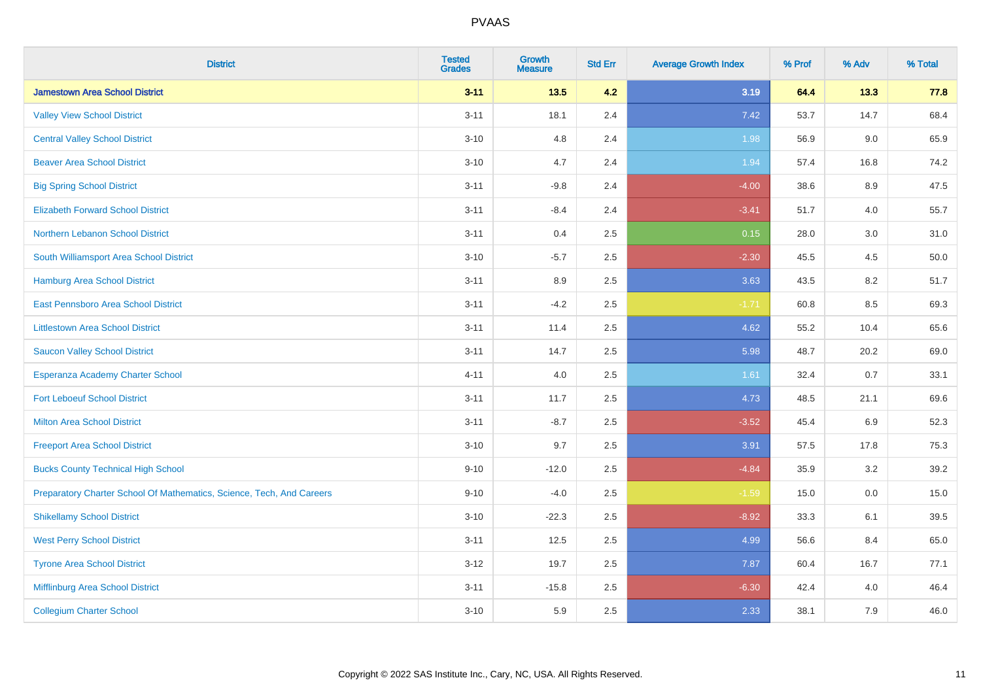| <b>District</b>                                                       | <b>Tested</b><br><b>Grades</b> | <b>Growth</b><br><b>Measure</b> | <b>Std Err</b> | <b>Average Growth Index</b> | % Prof | % Adv   | % Total |
|-----------------------------------------------------------------------|--------------------------------|---------------------------------|----------------|-----------------------------|--------|---------|---------|
| <b>Jamestown Area School District</b>                                 | $3 - 11$                       | 13.5                            | 4.2            | 3.19                        | 64.4   | 13.3    | 77.8    |
| <b>Valley View School District</b>                                    | $3 - 11$                       | 18.1                            | 2.4            | 7.42                        | 53.7   | 14.7    | 68.4    |
| <b>Central Valley School District</b>                                 | $3 - 10$                       | 4.8                             | 2.4            | 1.98                        | 56.9   | 9.0     | 65.9    |
| <b>Beaver Area School District</b>                                    | $3 - 10$                       | 4.7                             | 2.4            | 1.94                        | 57.4   | 16.8    | 74.2    |
| <b>Big Spring School District</b>                                     | $3 - 11$                       | $-9.8$                          | 2.4            | $-4.00$                     | 38.6   | 8.9     | 47.5    |
| <b>Elizabeth Forward School District</b>                              | $3 - 11$                       | $-8.4$                          | 2.4            | $-3.41$                     | 51.7   | 4.0     | 55.7    |
| Northern Lebanon School District                                      | $3 - 11$                       | 0.4                             | 2.5            | 0.15                        | 28.0   | $3.0\,$ | 31.0    |
| South Williamsport Area School District                               | $3 - 10$                       | $-5.7$                          | 2.5            | $-2.30$                     | 45.5   | 4.5     | 50.0    |
| Hamburg Area School District                                          | $3 - 11$                       | 8.9                             | 2.5            | 3.63                        | 43.5   | 8.2     | 51.7    |
| <b>East Pennsboro Area School District</b>                            | $3 - 11$                       | $-4.2$                          | 2.5            | $-1.71$                     | 60.8   | 8.5     | 69.3    |
| <b>Littlestown Area School District</b>                               | $3 - 11$                       | 11.4                            | 2.5            | 4.62                        | 55.2   | 10.4    | 65.6    |
| <b>Saucon Valley School District</b>                                  | $3 - 11$                       | 14.7                            | 2.5            | 5.98                        | 48.7   | 20.2    | 69.0    |
| Esperanza Academy Charter School                                      | $4 - 11$                       | 4.0                             | 2.5            | 1.61                        | 32.4   | 0.7     | 33.1    |
| <b>Fort Leboeuf School District</b>                                   | $3 - 11$                       | 11.7                            | 2.5            | 4.73                        | 48.5   | 21.1    | 69.6    |
| <b>Milton Area School District</b>                                    | $3 - 11$                       | $-8.7$                          | 2.5            | $-3.52$                     | 45.4   | 6.9     | 52.3    |
| <b>Freeport Area School District</b>                                  | $3 - 10$                       | 9.7                             | 2.5            | 3.91                        | 57.5   | 17.8    | 75.3    |
| <b>Bucks County Technical High School</b>                             | $9 - 10$                       | $-12.0$                         | 2.5            | $-4.84$                     | 35.9   | 3.2     | 39.2    |
| Preparatory Charter School Of Mathematics, Science, Tech, And Careers | $9 - 10$                       | $-4.0$                          | 2.5            | $-1.59$                     | 15.0   | 0.0     | 15.0    |
| <b>Shikellamy School District</b>                                     | $3 - 10$                       | $-22.3$                         | 2.5            | $-8.92$                     | 33.3   | 6.1     | 39.5    |
| <b>West Perry School District</b>                                     | $3 - 11$                       | 12.5                            | 2.5            | 4.99                        | 56.6   | 8.4     | 65.0    |
| <b>Tyrone Area School District</b>                                    | $3 - 12$                       | 19.7                            | 2.5            | 7.87                        | 60.4   | 16.7    | 77.1    |
| Mifflinburg Area School District                                      | $3 - 11$                       | $-15.8$                         | 2.5            | $-6.30$                     | 42.4   | 4.0     | 46.4    |
| <b>Collegium Charter School</b>                                       | $3 - 10$                       | 5.9                             | 2.5            | 2.33                        | 38.1   | 7.9     | 46.0    |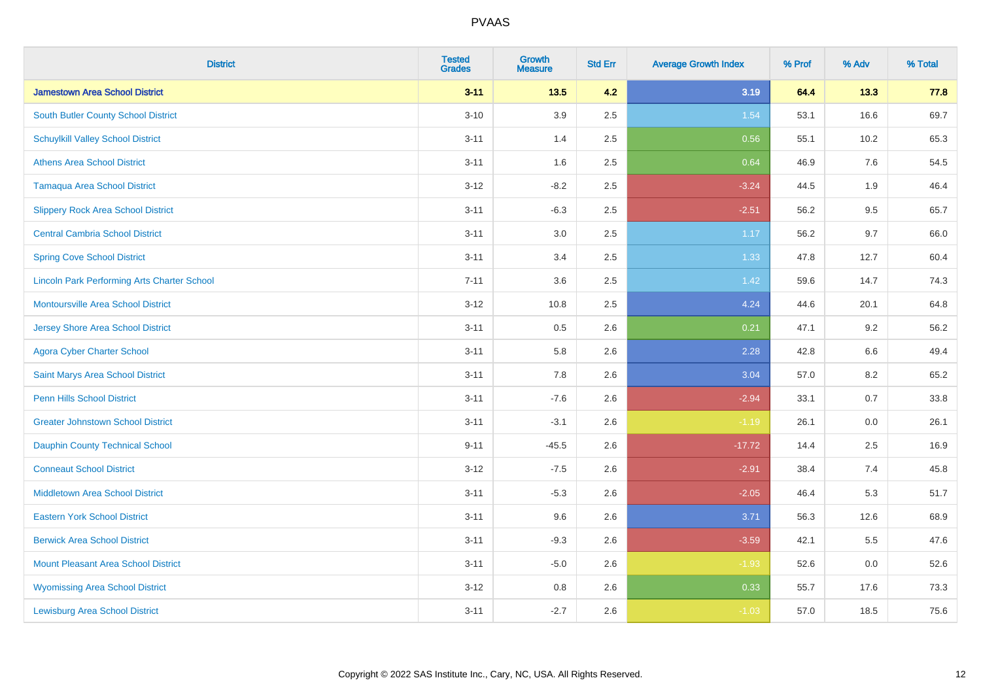| <b>District</b>                                    | <b>Tested</b><br><b>Grades</b> | <b>Growth</b><br><b>Measure</b> | <b>Std Err</b> | <b>Average Growth Index</b> | % Prof | % Adv   | % Total |
|----------------------------------------------------|--------------------------------|---------------------------------|----------------|-----------------------------|--------|---------|---------|
| <b>Jamestown Area School District</b>              | $3 - 11$                       | $13.5$                          | 4.2            | 3.19                        | 64.4   | 13.3    | 77.8    |
| South Butler County School District                | $3 - 10$                       | 3.9                             | 2.5            | 1.54                        | 53.1   | 16.6    | 69.7    |
| <b>Schuylkill Valley School District</b>           | $3 - 11$                       | 1.4                             | 2.5            | 0.56                        | 55.1   | 10.2    | 65.3    |
| <b>Athens Area School District</b>                 | $3 - 11$                       | 1.6                             | 2.5            | 0.64                        | 46.9   | 7.6     | 54.5    |
| <b>Tamaqua Area School District</b>                | $3 - 12$                       | $-8.2$                          | 2.5            | $-3.24$                     | 44.5   | 1.9     | 46.4    |
| <b>Slippery Rock Area School District</b>          | $3 - 11$                       | $-6.3$                          | 2.5            | $-2.51$                     | 56.2   | 9.5     | 65.7    |
| <b>Central Cambria School District</b>             | $3 - 11$                       | 3.0                             | 2.5            | 1.17                        | 56.2   | 9.7     | 66.0    |
| <b>Spring Cove School District</b>                 | $3 - 11$                       | 3.4                             | 2.5            | 1.33                        | 47.8   | 12.7    | 60.4    |
| <b>Lincoln Park Performing Arts Charter School</b> | $7 - 11$                       | 3.6                             | 2.5            | 1.42                        | 59.6   | 14.7    | 74.3    |
| <b>Montoursville Area School District</b>          | $3 - 12$                       | 10.8                            | 2.5            | 4.24                        | 44.6   | 20.1    | 64.8    |
| <b>Jersey Shore Area School District</b>           | $3 - 11$                       | 0.5                             | 2.6            | 0.21                        | 47.1   | 9.2     | 56.2    |
| <b>Agora Cyber Charter School</b>                  | $3 - 11$                       | 5.8                             | 2.6            | 2.28                        | 42.8   | 6.6     | 49.4    |
| Saint Marys Area School District                   | $3 - 11$                       | 7.8                             | 2.6            | 3.04                        | 57.0   | $8.2\,$ | 65.2    |
| <b>Penn Hills School District</b>                  | $3 - 11$                       | $-7.6$                          | 2.6            | $-2.94$                     | 33.1   | 0.7     | 33.8    |
| <b>Greater Johnstown School District</b>           | $3 - 11$                       | $-3.1$                          | 2.6            | $-1.19$                     | 26.1   | 0.0     | 26.1    |
| <b>Dauphin County Technical School</b>             | $9 - 11$                       | $-45.5$                         | 2.6            | $-17.72$                    | 14.4   | 2.5     | 16.9    |
| <b>Conneaut School District</b>                    | $3 - 12$                       | $-7.5$                          | 2.6            | $-2.91$                     | 38.4   | 7.4     | 45.8    |
| <b>Middletown Area School District</b>             | $3 - 11$                       | $-5.3$                          | 2.6            | $-2.05$                     | 46.4   | 5.3     | 51.7    |
| <b>Eastern York School District</b>                | $3 - 11$                       | 9.6                             | 2.6            | 3.71                        | 56.3   | 12.6    | 68.9    |
| <b>Berwick Area School District</b>                | $3 - 11$                       | $-9.3$                          | 2.6            | $-3.59$                     | 42.1   | 5.5     | 47.6    |
| <b>Mount Pleasant Area School District</b>         | $3 - 11$                       | $-5.0$                          | 2.6            | $-1.93$                     | 52.6   | 0.0     | 52.6    |
| <b>Wyomissing Area School District</b>             | $3 - 12$                       | $0.8\,$                         | 2.6            | 0.33                        | 55.7   | 17.6    | 73.3    |
| <b>Lewisburg Area School District</b>              | $3 - 11$                       | $-2.7$                          | 2.6            | $-1.03$                     | 57.0   | 18.5    | 75.6    |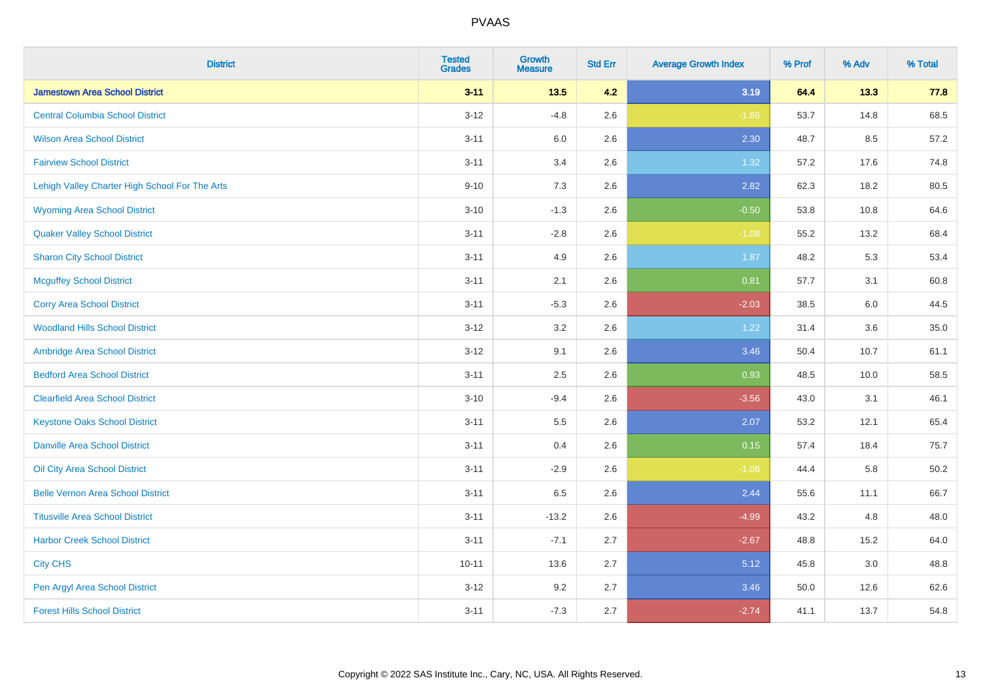| <b>District</b>                                | <b>Tested</b><br><b>Grades</b> | <b>Growth</b><br><b>Measure</b> | <b>Std Err</b> | <b>Average Growth Index</b> | % Prof | % Adv | % Total |
|------------------------------------------------|--------------------------------|---------------------------------|----------------|-----------------------------|--------|-------|---------|
| <b>Jamestown Area School District</b>          | $3 - 11$                       | 13.5                            | 4.2            | 3.19                        | 64.4   | 13.3  | 77.8    |
| <b>Central Columbia School District</b>        | $3 - 12$                       | $-4.8$                          | 2.6            | $-1.86$                     | 53.7   | 14.8  | 68.5    |
| <b>Wilson Area School District</b>             | $3 - 11$                       | 6.0                             | 2.6            | 2.30                        | 48.7   | 8.5   | 57.2    |
| <b>Fairview School District</b>                | $3 - 11$                       | 3.4                             | 2.6            | 1.32                        | 57.2   | 17.6  | 74.8    |
| Lehigh Valley Charter High School For The Arts | $9 - 10$                       | 7.3                             | 2.6            | 2.82                        | 62.3   | 18.2  | 80.5    |
| <b>Wyoming Area School District</b>            | $3 - 10$                       | $-1.3$                          | 2.6            | $-0.50$                     | 53.8   | 10.8  | 64.6    |
| <b>Quaker Valley School District</b>           | $3 - 11$                       | $-2.8$                          | 2.6            | $-1.08$                     | 55.2   | 13.2  | 68.4    |
| <b>Sharon City School District</b>             | $3 - 11$                       | 4.9                             | 2.6            | 1.87                        | 48.2   | 5.3   | 53.4    |
| <b>Mcguffey School District</b>                | $3 - 11$                       | 2.1                             | 2.6            | 0.81                        | 57.7   | 3.1   | 60.8    |
| <b>Corry Area School District</b>              | $3 - 11$                       | $-5.3$                          | 2.6            | $-2.03$                     | 38.5   | 6.0   | 44.5    |
| <b>Woodland Hills School District</b>          | $3-12$                         | 3.2                             | 2.6            | 1.22                        | 31.4   | 3.6   | 35.0    |
| Ambridge Area School District                  | $3 - 12$                       | 9.1                             | 2.6            | 3.46                        | 50.4   | 10.7  | 61.1    |
| <b>Bedford Area School District</b>            | $3 - 11$                       | 2.5                             | 2.6            | 0.93                        | 48.5   | 10.0  | 58.5    |
| <b>Clearfield Area School District</b>         | $3 - 10$                       | $-9.4$                          | 2.6            | $-3.56$                     | 43.0   | 3.1   | 46.1    |
| <b>Keystone Oaks School District</b>           | $3 - 11$                       | $5.5\,$                         | 2.6            | 2.07                        | 53.2   | 12.1  | 65.4    |
| <b>Danville Area School District</b>           | $3 - 11$                       | 0.4                             | 2.6            | 0.15                        | 57.4   | 18.4  | 75.7    |
| <b>Oil City Area School District</b>           | $3 - 11$                       | $-2.9$                          | 2.6            | $-1.08$                     | 44.4   | 5.8   | 50.2    |
| <b>Belle Vernon Area School District</b>       | $3 - 11$                       | 6.5                             | 2.6            | 2.44                        | 55.6   | 11.1  | 66.7    |
| <b>Titusville Area School District</b>         | $3 - 11$                       | $-13.2$                         | 2.6            | $-4.99$                     | 43.2   | 4.8   | 48.0    |
| <b>Harbor Creek School District</b>            | $3 - 11$                       | $-7.1$                          | 2.7            | $-2.67$                     | 48.8   | 15.2  | 64.0    |
| <b>City CHS</b>                                | $10 - 11$                      | 13.6                            | 2.7            | 5.12                        | 45.8   | 3.0   | 48.8    |
| Pen Argyl Area School District                 | $3 - 12$                       | 9.2                             | 2.7            | 3.46                        | 50.0   | 12.6  | 62.6    |
| <b>Forest Hills School District</b>            | $3 - 11$                       | $-7.3$                          | 2.7            | $-2.74$                     | 41.1   | 13.7  | 54.8    |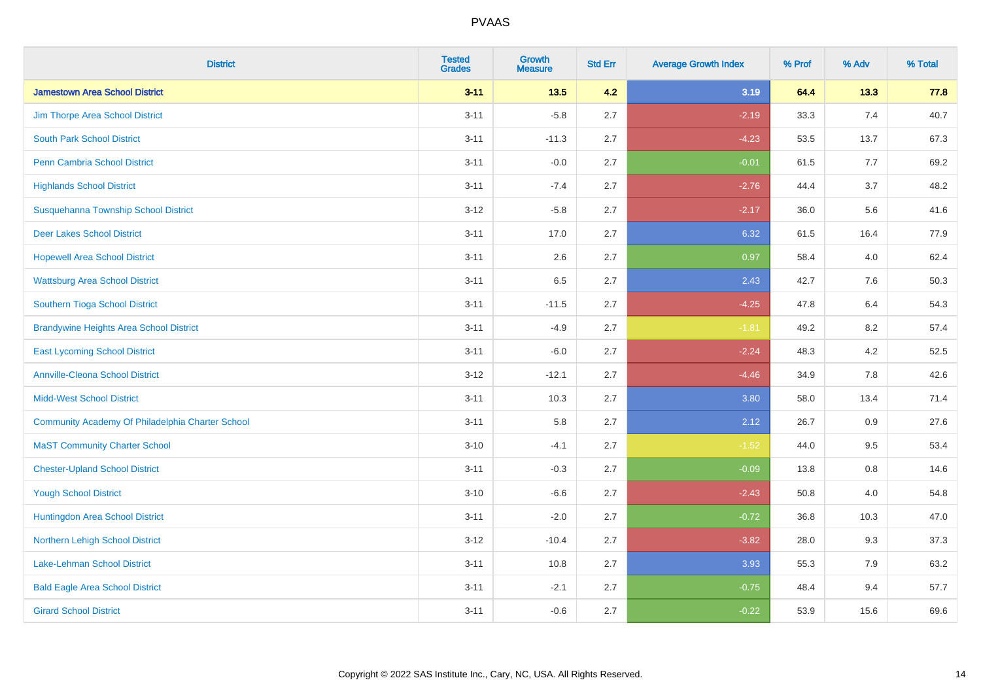| <b>District</b>                                  | <b>Tested</b><br><b>Grades</b> | Growth<br><b>Measure</b> | <b>Std Err</b> | <b>Average Growth Index</b> | % Prof | % Adv | % Total |
|--------------------------------------------------|--------------------------------|--------------------------|----------------|-----------------------------|--------|-------|---------|
| <b>Jamestown Area School District</b>            | $3 - 11$                       | 13.5                     | 4.2            | 3.19                        | 64.4   | 13.3  | 77.8    |
| Jim Thorpe Area School District                  | $3 - 11$                       | $-5.8$                   | 2.7            | $-2.19$                     | 33.3   | 7.4   | 40.7    |
| <b>South Park School District</b>                | $3 - 11$                       | $-11.3$                  | 2.7            | $-4.23$                     | 53.5   | 13.7  | 67.3    |
| <b>Penn Cambria School District</b>              | $3 - 11$                       | $-0.0$                   | 2.7            | $-0.01$                     | 61.5   | 7.7   | 69.2    |
| <b>Highlands School District</b>                 | $3 - 11$                       | $-7.4$                   | 2.7            | $-2.76$                     | 44.4   | 3.7   | 48.2    |
| Susquehanna Township School District             | $3 - 12$                       | $-5.8$                   | 2.7            | $-2.17$                     | 36.0   | 5.6   | 41.6    |
| <b>Deer Lakes School District</b>                | $3 - 11$                       | 17.0                     | 2.7            | 6.32                        | 61.5   | 16.4  | 77.9    |
| <b>Hopewell Area School District</b>             | $3 - 11$                       | 2.6                      | 2.7            | 0.97                        | 58.4   | 4.0   | 62.4    |
| <b>Wattsburg Area School District</b>            | $3 - 11$                       | 6.5                      | 2.7            | 2.43                        | 42.7   | 7.6   | 50.3    |
| Southern Tioga School District                   | $3 - 11$                       | $-11.5$                  | 2.7            | $-4.25$                     | 47.8   | 6.4   | 54.3    |
| <b>Brandywine Heights Area School District</b>   | $3 - 11$                       | $-4.9$                   | 2.7            | $-1.81$                     | 49.2   | 8.2   | 57.4    |
| <b>East Lycoming School District</b>             | $3 - 11$                       | $-6.0$                   | 2.7            | $-2.24$                     | 48.3   | 4.2   | 52.5    |
| <b>Annville-Cleona School District</b>           | $3 - 12$                       | $-12.1$                  | 2.7            | $-4.46$                     | 34.9   | 7.8   | 42.6    |
| <b>Midd-West School District</b>                 | $3 - 11$                       | 10.3                     | 2.7            | 3.80                        | 58.0   | 13.4  | 71.4    |
| Community Academy Of Philadelphia Charter School | $3 - 11$                       | 5.8                      | 2.7            | 2.12                        | 26.7   | 0.9   | 27.6    |
| <b>MaST Community Charter School</b>             | $3 - 10$                       | $-4.1$                   | 2.7            | $-1.52$                     | 44.0   | 9.5   | 53.4    |
| <b>Chester-Upland School District</b>            | $3 - 11$                       | $-0.3$                   | 2.7            | $-0.09$                     | 13.8   | 0.8   | 14.6    |
| <b>Yough School District</b>                     | $3 - 10$                       | $-6.6$                   | 2.7            | $-2.43$                     | 50.8   | 4.0   | 54.8    |
| Huntingdon Area School District                  | $3 - 11$                       | $-2.0$                   | 2.7            | $-0.72$                     | 36.8   | 10.3  | 47.0    |
| Northern Lehigh School District                  | $3 - 12$                       | $-10.4$                  | 2.7            | $-3.82$                     | 28.0   | 9.3   | 37.3    |
| Lake-Lehman School District                      | $3 - 11$                       | 10.8                     | 2.7            | 3.93                        | 55.3   | 7.9   | 63.2    |
| <b>Bald Eagle Area School District</b>           | $3 - 11$                       | $-2.1$                   | 2.7            | $-0.75$                     | 48.4   | 9.4   | 57.7    |
| <b>Girard School District</b>                    | $3 - 11$                       | $-0.6$                   | 2.7            | $-0.22$                     | 53.9   | 15.6  | 69.6    |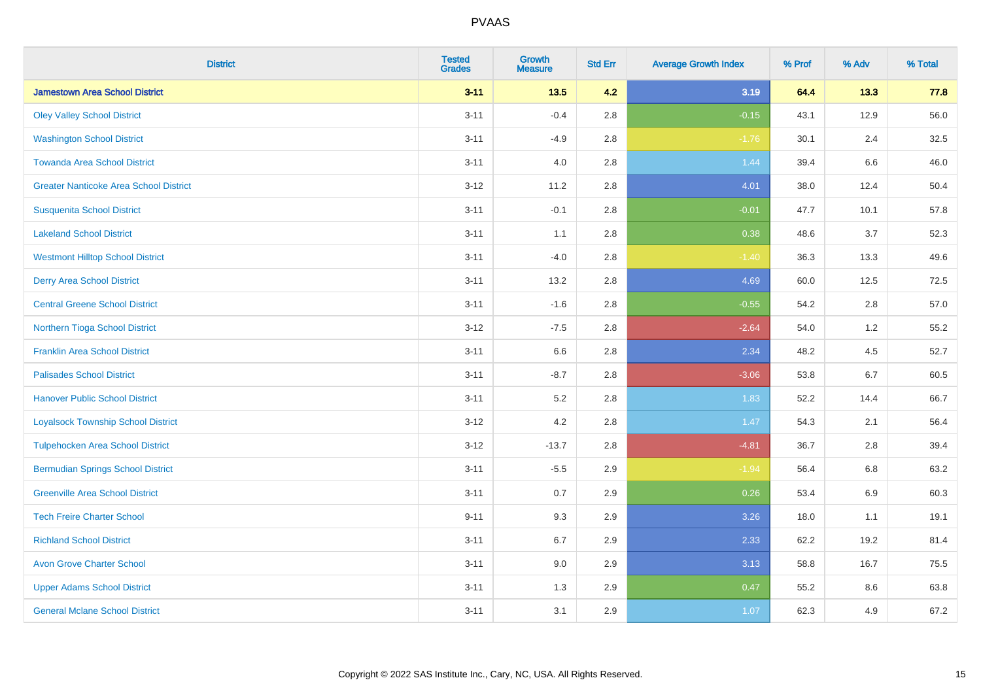| <b>District</b>                               | <b>Tested</b><br><b>Grades</b> | <b>Growth</b><br><b>Measure</b> | <b>Std Err</b> | <b>Average Growth Index</b> | % Prof | % Adv   | % Total |
|-----------------------------------------------|--------------------------------|---------------------------------|----------------|-----------------------------|--------|---------|---------|
| <b>Jamestown Area School District</b>         | $3 - 11$                       | $13.5$                          | 4.2            | 3.19                        | 64.4   | 13.3    | 77.8    |
| <b>Oley Valley School District</b>            | $3 - 11$                       | $-0.4$                          | 2.8            | $-0.15$                     | 43.1   | 12.9    | 56.0    |
| <b>Washington School District</b>             | $3 - 11$                       | $-4.9$                          | 2.8            | $-1.76$                     | 30.1   | 2.4     | 32.5    |
| <b>Towanda Area School District</b>           | $3 - 11$                       | 4.0                             | 2.8            | 1.44                        | 39.4   | $6.6\,$ | 46.0    |
| <b>Greater Nanticoke Area School District</b> | $3 - 12$                       | 11.2                            | 2.8            | 4.01                        | 38.0   | 12.4    | 50.4    |
| <b>Susquenita School District</b>             | $3 - 11$                       | $-0.1$                          | 2.8            | $-0.01$                     | 47.7   | 10.1    | 57.8    |
| <b>Lakeland School District</b>               | $3 - 11$                       | 1.1                             | 2.8            | 0.38                        | 48.6   | 3.7     | 52.3    |
| <b>Westmont Hilltop School District</b>       | $3 - 11$                       | $-4.0$                          | 2.8            | $-1.40$                     | 36.3   | 13.3    | 49.6    |
| <b>Derry Area School District</b>             | $3 - 11$                       | 13.2                            | 2.8            | 4.69                        | 60.0   | 12.5    | 72.5    |
| <b>Central Greene School District</b>         | $3 - 11$                       | $-1.6$                          | 2.8            | $-0.55$                     | 54.2   | 2.8     | 57.0    |
| Northern Tioga School District                | $3 - 12$                       | $-7.5$                          | 2.8            | $-2.64$                     | 54.0   | 1.2     | 55.2    |
| <b>Franklin Area School District</b>          | $3 - 11$                       | 6.6                             | 2.8            | 2.34                        | 48.2   | 4.5     | 52.7    |
| <b>Palisades School District</b>              | $3 - 11$                       | $-8.7$                          | 2.8            | $-3.06$                     | 53.8   | 6.7     | 60.5    |
| <b>Hanover Public School District</b>         | $3 - 11$                       | 5.2                             | 2.8            | 1.83                        | 52.2   | 14.4    | 66.7    |
| <b>Loyalsock Township School District</b>     | $3-12$                         | 4.2                             | 2.8            | 1.47                        | 54.3   | 2.1     | 56.4    |
| <b>Tulpehocken Area School District</b>       | $3 - 12$                       | $-13.7$                         | 2.8            | $-4.81$                     | 36.7   | 2.8     | 39.4    |
| <b>Bermudian Springs School District</b>      | $3 - 11$                       | $-5.5$                          | 2.9            | $-1.94$                     | 56.4   | 6.8     | 63.2    |
| <b>Greenville Area School District</b>        | $3 - 11$                       | 0.7                             | 2.9            | 0.26                        | 53.4   | 6.9     | 60.3    |
| <b>Tech Freire Charter School</b>             | $9 - 11$                       | 9.3                             | 2.9            | 3.26                        | 18.0   | 1.1     | 19.1    |
| <b>Richland School District</b>               | $3 - 11$                       | 6.7                             | 2.9            | 2.33                        | 62.2   | 19.2    | 81.4    |
| <b>Avon Grove Charter School</b>              | $3 - 11$                       | 9.0                             | 2.9            | 3.13                        | 58.8   | 16.7    | 75.5    |
| <b>Upper Adams School District</b>            | $3 - 11$                       | 1.3                             | 2.9            | 0.47                        | 55.2   | 8.6     | 63.8    |
| <b>General Mclane School District</b>         | $3 - 11$                       | 3.1                             | 2.9            | 1.07                        | 62.3   | 4.9     | 67.2    |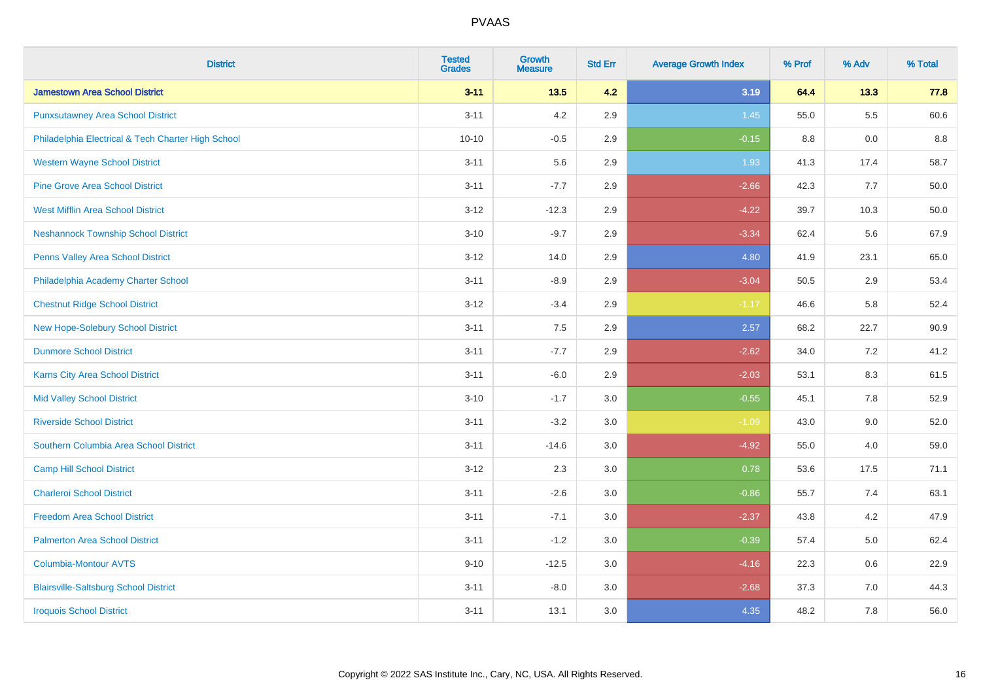| <b>District</b>                                    | <b>Tested</b><br><b>Grades</b> | <b>Growth</b><br><b>Measure</b> | <b>Std Err</b> | <b>Average Growth Index</b> | % Prof | % Adv   | % Total |
|----------------------------------------------------|--------------------------------|---------------------------------|----------------|-----------------------------|--------|---------|---------|
| <b>Jamestown Area School District</b>              | $3 - 11$                       | $13.5$                          | 4.2            | 3.19                        | 64.4   | 13.3    | 77.8    |
| <b>Punxsutawney Area School District</b>           | $3 - 11$                       | 4.2                             | 2.9            | 1.45                        | 55.0   | $5.5\,$ | 60.6    |
| Philadelphia Electrical & Tech Charter High School | $10 - 10$                      | $-0.5$                          | 2.9            | $-0.15$                     | 8.8    | 0.0     | 8.8     |
| <b>Western Wayne School District</b>               | $3 - 11$                       | 5.6                             | 2.9            | 1.93                        | 41.3   | 17.4    | 58.7    |
| <b>Pine Grove Area School District</b>             | $3 - 11$                       | $-7.7$                          | 2.9            | $-2.66$                     | 42.3   | 7.7     | 50.0    |
| <b>West Mifflin Area School District</b>           | $3 - 12$                       | $-12.3$                         | 2.9            | $-4.22$                     | 39.7   | 10.3    | 50.0    |
| <b>Neshannock Township School District</b>         | $3 - 10$                       | $-9.7$                          | 2.9            | $-3.34$                     | 62.4   | 5.6     | 67.9    |
| <b>Penns Valley Area School District</b>           | $3 - 12$                       | 14.0                            | 2.9            | 4.80                        | 41.9   | 23.1    | 65.0    |
| Philadelphia Academy Charter School                | $3 - 11$                       | $-8.9$                          | 2.9            | $-3.04$                     | 50.5   | 2.9     | 53.4    |
| <b>Chestnut Ridge School District</b>              | $3 - 12$                       | $-3.4$                          | 2.9            | $-1.17$                     | 46.6   | 5.8     | 52.4    |
| New Hope-Solebury School District                  | $3 - 11$                       | 7.5                             | 2.9            | 2.57                        | 68.2   | 22.7    | 90.9    |
| <b>Dunmore School District</b>                     | $3 - 11$                       | $-7.7$                          | 2.9            | $-2.62$                     | 34.0   | 7.2     | 41.2    |
| Karns City Area School District                    | $3 - 11$                       | $-6.0$                          | 2.9            | $-2.03$                     | 53.1   | $8.3\,$ | 61.5    |
| <b>Mid Valley School District</b>                  | $3 - 10$                       | $-1.7$                          | 3.0            | $-0.55$                     | 45.1   | $7.8\,$ | 52.9    |
| <b>Riverside School District</b>                   | $3 - 11$                       | $-3.2$                          | 3.0            | $-1.09$                     | 43.0   | 9.0     | 52.0    |
| Southern Columbia Area School District             | $3 - 11$                       | $-14.6$                         | 3.0            | $-4.92$                     | 55.0   | 4.0     | 59.0    |
| <b>Camp Hill School District</b>                   | $3 - 12$                       | 2.3                             | 3.0            | 0.78                        | 53.6   | 17.5    | 71.1    |
| <b>Charleroi School District</b>                   | $3 - 11$                       | $-2.6$                          | 3.0            | $-0.86$                     | 55.7   | 7.4     | 63.1    |
| <b>Freedom Area School District</b>                | $3 - 11$                       | $-7.1$                          | 3.0            | $-2.37$                     | 43.8   | 4.2     | 47.9    |
| <b>Palmerton Area School District</b>              | $3 - 11$                       | $-1.2$                          | 3.0            | $-0.39$                     | 57.4   | 5.0     | 62.4    |
| <b>Columbia-Montour AVTS</b>                       | $9 - 10$                       | $-12.5$                         | 3.0            | $-4.16$                     | 22.3   | 0.6     | 22.9    |
| <b>Blairsville-Saltsburg School District</b>       | $3 - 11$                       | $-8.0$                          | 3.0            | $-2.68$                     | 37.3   | 7.0     | 44.3    |
| <b>Iroquois School District</b>                    | $3 - 11$                       | 13.1                            | 3.0            | 4.35                        | 48.2   | 7.8     | 56.0    |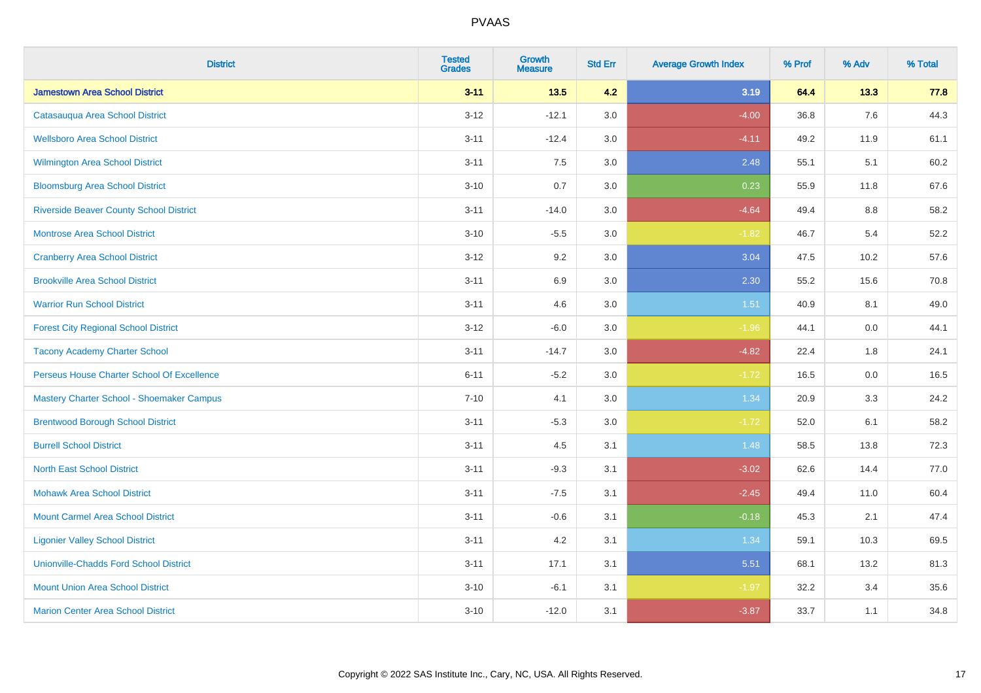| <b>District</b>                                | <b>Tested</b><br><b>Grades</b> | <b>Growth</b><br><b>Measure</b> | <b>Std Err</b> | <b>Average Growth Index</b> | % Prof | % Adv   | % Total |
|------------------------------------------------|--------------------------------|---------------------------------|----------------|-----------------------------|--------|---------|---------|
| <b>Jamestown Area School District</b>          | $3 - 11$                       | 13.5                            | 4.2            | 3.19                        | 64.4   | 13.3    | 77.8    |
| Catasauqua Area School District                | $3 - 12$                       | $-12.1$                         | 3.0            | $-4.00$                     | 36.8   | 7.6     | 44.3    |
| <b>Wellsboro Area School District</b>          | $3 - 11$                       | $-12.4$                         | 3.0            | $-4.11$                     | 49.2   | 11.9    | 61.1    |
| <b>Wilmington Area School District</b>         | $3 - 11$                       | 7.5                             | 3.0            | 2.48                        | 55.1   | 5.1     | 60.2    |
| <b>Bloomsburg Area School District</b>         | $3 - 10$                       | 0.7                             | 3.0            | 0.23                        | 55.9   | 11.8    | 67.6    |
| <b>Riverside Beaver County School District</b> | $3 - 11$                       | $-14.0$                         | 3.0            | $-4.64$                     | 49.4   | 8.8     | 58.2    |
| <b>Montrose Area School District</b>           | $3 - 10$                       | $-5.5$                          | 3.0            | $-1.82$                     | 46.7   | 5.4     | 52.2    |
| <b>Cranberry Area School District</b>          | $3 - 12$                       | 9.2                             | 3.0            | 3.04                        | 47.5   | 10.2    | 57.6    |
| <b>Brookville Area School District</b>         | $3 - 11$                       | 6.9                             | 3.0            | 2.30                        | 55.2   | 15.6    | 70.8    |
| <b>Warrior Run School District</b>             | $3 - 11$                       | 4.6                             | 3.0            | 1.51                        | 40.9   | 8.1     | 49.0    |
| <b>Forest City Regional School District</b>    | $3 - 12$                       | $-6.0$                          | 3.0            | $-1.96$                     | 44.1   | 0.0     | 44.1    |
| <b>Tacony Academy Charter School</b>           | $3 - 11$                       | $-14.7$                         | 3.0            | $-4.82$                     | 22.4   | 1.8     | 24.1    |
| Perseus House Charter School Of Excellence     | $6 - 11$                       | $-5.2$                          | 3.0            | $-1.72$                     | 16.5   | $0.0\,$ | 16.5    |
| Mastery Charter School - Shoemaker Campus      | $7 - 10$                       | 4.1                             | 3.0            | 1.34                        | 20.9   | 3.3     | 24.2    |
| <b>Brentwood Borough School District</b>       | $3 - 11$                       | $-5.3$                          | 3.0            | $-1.72$                     | 52.0   | 6.1     | 58.2    |
| <b>Burrell School District</b>                 | $3 - 11$                       | 4.5                             | 3.1            | 1.48                        | 58.5   | 13.8    | 72.3    |
| <b>North East School District</b>              | $3 - 11$                       | $-9.3$                          | 3.1            | $-3.02$                     | 62.6   | 14.4    | 77.0    |
| <b>Mohawk Area School District</b>             | $3 - 11$                       | $-7.5$                          | 3.1            | $-2.45$                     | 49.4   | 11.0    | 60.4    |
| <b>Mount Carmel Area School District</b>       | $3 - 11$                       | $-0.6$                          | 3.1            | $-0.18$                     | 45.3   | 2.1     | 47.4    |
| <b>Ligonier Valley School District</b>         | $3 - 11$                       | 4.2                             | 3.1            | 1.34                        | 59.1   | 10.3    | 69.5    |
| <b>Unionville-Chadds Ford School District</b>  | $3 - 11$                       | 17.1                            | 3.1            | 5.51                        | 68.1   | 13.2    | 81.3    |
| <b>Mount Union Area School District</b>        | $3 - 10$                       | $-6.1$                          | 3.1            | $-1.97$                     | 32.2   | 3.4     | 35.6    |
| <b>Marion Center Area School District</b>      | $3 - 10$                       | $-12.0$                         | 3.1            | $-3.87$                     | 33.7   | 1.1     | 34.8    |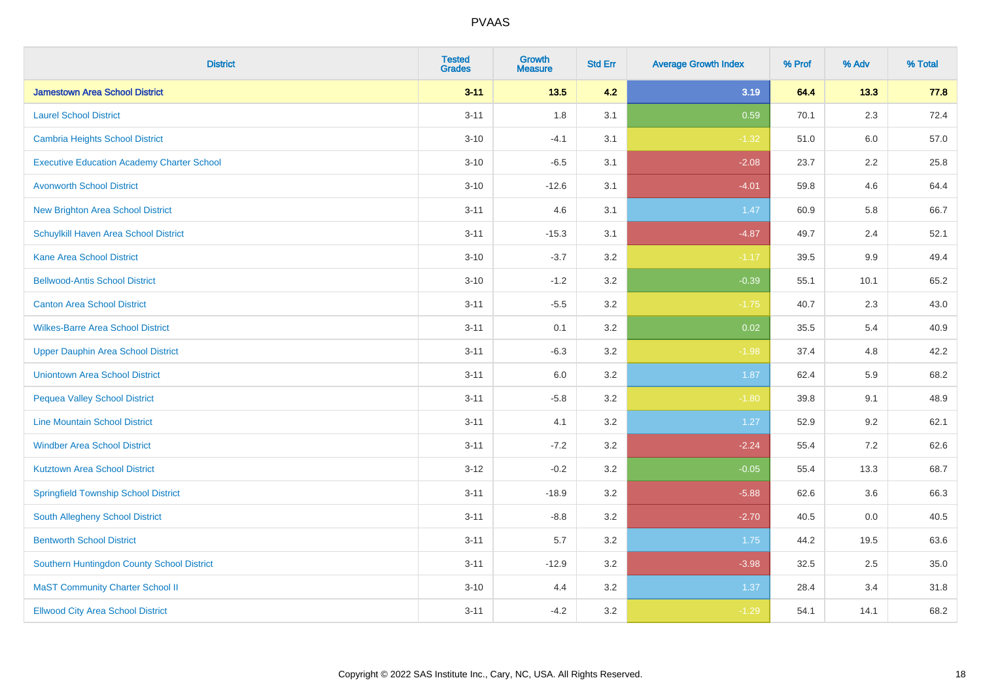| <b>District</b>                                   | <b>Tested</b><br><b>Grades</b> | Growth<br><b>Measure</b> | <b>Std Err</b> | <b>Average Growth Index</b> | % Prof | % Adv   | % Total |
|---------------------------------------------------|--------------------------------|--------------------------|----------------|-----------------------------|--------|---------|---------|
| <b>Jamestown Area School District</b>             | $3 - 11$                       | 13.5                     | 4.2            | 3.19                        | 64.4   | 13.3    | 77.8    |
| <b>Laurel School District</b>                     | $3 - 11$                       | 1.8                      | 3.1            | 0.59                        | 70.1   | 2.3     | 72.4    |
| Cambria Heights School District                   | $3 - 10$                       | $-4.1$                   | 3.1            | $-1.32$                     | 51.0   | 6.0     | 57.0    |
| <b>Executive Education Academy Charter School</b> | $3 - 10$                       | $-6.5$                   | 3.1            | $-2.08$                     | 23.7   | $2.2\,$ | 25.8    |
| <b>Avonworth School District</b>                  | $3 - 10$                       | $-12.6$                  | 3.1            | $-4.01$                     | 59.8   | 4.6     | 64.4    |
| <b>New Brighton Area School District</b>          | $3 - 11$                       | 4.6                      | 3.1            | 1.47                        | 60.9   | 5.8     | 66.7    |
| Schuylkill Haven Area School District             | $3 - 11$                       | $-15.3$                  | 3.1            | $-4.87$                     | 49.7   | 2.4     | 52.1    |
| <b>Kane Area School District</b>                  | $3 - 10$                       | $-3.7$                   | 3.2            | $-1.17$                     | 39.5   | 9.9     | 49.4    |
| <b>Bellwood-Antis School District</b>             | $3 - 10$                       | $-1.2$                   | 3.2            | $-0.39$                     | 55.1   | 10.1    | 65.2    |
| <b>Canton Area School District</b>                | $3 - 11$                       | $-5.5$                   | 3.2            | $-1.75$                     | 40.7   | 2.3     | 43.0    |
| <b>Wilkes-Barre Area School District</b>          | $3 - 11$                       | 0.1                      | 3.2            | 0.02                        | 35.5   | 5.4     | 40.9    |
| <b>Upper Dauphin Area School District</b>         | $3 - 11$                       | $-6.3$                   | 3.2            | $-1.98$                     | 37.4   | 4.8     | 42.2    |
| <b>Uniontown Area School District</b>             | $3 - 11$                       | 6.0                      | $3.2\,$        | 1.87                        | 62.4   | 5.9     | 68.2    |
| <b>Pequea Valley School District</b>              | $3 - 11$                       | $-5.8$                   | 3.2            | $-1.80$                     | 39.8   | 9.1     | 48.9    |
| <b>Line Mountain School District</b>              | $3 - 11$                       | 4.1                      | 3.2            | 1.27                        | 52.9   | 9.2     | 62.1    |
| <b>Windber Area School District</b>               | $3 - 11$                       | $-7.2$                   | 3.2            | $-2.24$                     | 55.4   | 7.2     | 62.6    |
| <b>Kutztown Area School District</b>              | $3 - 12$                       | $-0.2$                   | 3.2            | $-0.05$                     | 55.4   | 13.3    | 68.7    |
| <b>Springfield Township School District</b>       | $3 - 11$                       | $-18.9$                  | 3.2            | $-5.88$                     | 62.6   | 3.6     | 66.3    |
| South Allegheny School District                   | $3 - 11$                       | $-8.8$                   | 3.2            | $-2.70$                     | 40.5   | 0.0     | 40.5    |
| <b>Bentworth School District</b>                  | $3 - 11$                       | 5.7                      | 3.2            | 1.75                        | 44.2   | 19.5    | 63.6    |
| Southern Huntingdon County School District        | $3 - 11$                       | $-12.9$                  | 3.2            | $-3.98$                     | 32.5   | 2.5     | 35.0    |
| <b>MaST Community Charter School II</b>           | $3 - 10$                       | 4.4                      | 3.2            | 1.37                        | 28.4   | 3.4     | 31.8    |
| <b>Ellwood City Area School District</b>          | $3 - 11$                       | $-4.2$                   | 3.2            | $-1.29$                     | 54.1   | 14.1    | 68.2    |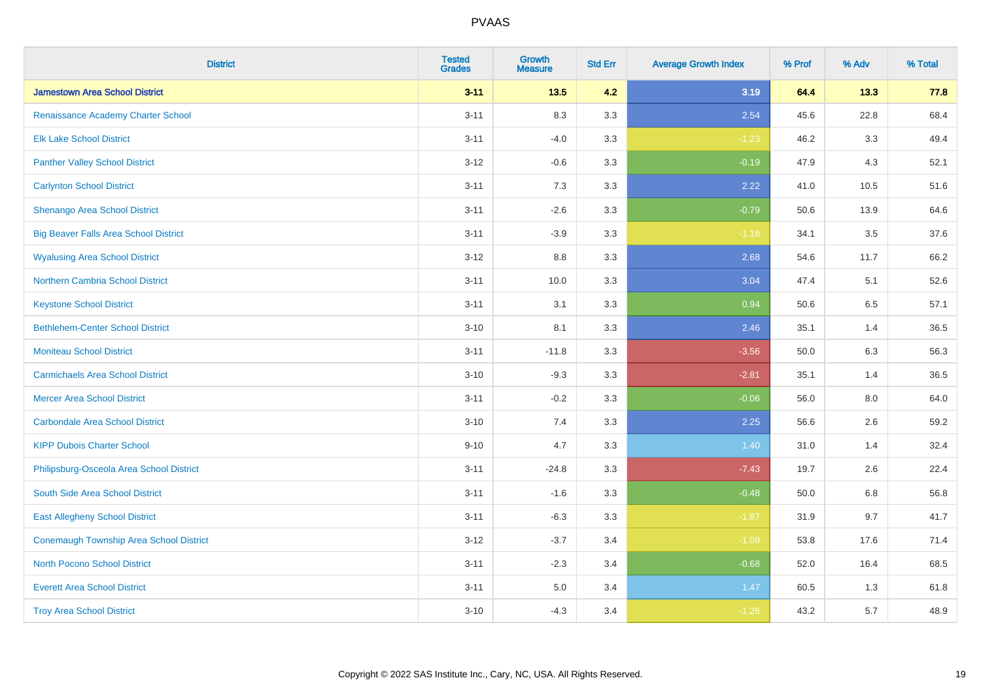| <b>District</b>                              | <b>Tested</b><br><b>Grades</b> | <b>Growth</b><br><b>Measure</b> | <b>Std Err</b> | <b>Average Growth Index</b> | % Prof | % Adv | % Total |
|----------------------------------------------|--------------------------------|---------------------------------|----------------|-----------------------------|--------|-------|---------|
| <b>Jamestown Area School District</b>        | $3 - 11$                       | $13.5$                          | 4.2            | 3.19                        | 64.4   | 13.3  | 77.8    |
| Renaissance Academy Charter School           | $3 - 11$                       | 8.3                             | 3.3            | 2.54                        | 45.6   | 22.8  | 68.4    |
| <b>Elk Lake School District</b>              | $3 - 11$                       | $-4.0$                          | 3.3            | $-1.23$                     | 46.2   | 3.3   | 49.4    |
| <b>Panther Valley School District</b>        | $3 - 12$                       | $-0.6$                          | 3.3            | $-0.19$                     | 47.9   | 4.3   | 52.1    |
| <b>Carlynton School District</b>             | $3 - 11$                       | 7.3                             | 3.3            | 2.22                        | 41.0   | 10.5  | 51.6    |
| Shenango Area School District                | $3 - 11$                       | $-2.6$                          | 3.3            | $-0.79$                     | 50.6   | 13.9  | 64.6    |
| <b>Big Beaver Falls Area School District</b> | $3 - 11$                       | $-3.9$                          | 3.3            | $-1.18$                     | 34.1   | 3.5   | 37.6    |
| <b>Wyalusing Area School District</b>        | $3 - 12$                       | 8.8                             | 3.3            | 2.68                        | 54.6   | 11.7  | 66.2    |
| <b>Northern Cambria School District</b>      | $3 - 11$                       | 10.0                            | 3.3            | 3.04                        | 47.4   | 5.1   | 52.6    |
| <b>Keystone School District</b>              | $3 - 11$                       | 3.1                             | 3.3            | 0.94                        | 50.6   | 6.5   | 57.1    |
| <b>Bethlehem-Center School District</b>      | $3 - 10$                       | 8.1                             | 3.3            | 2.46                        | 35.1   | 1.4   | 36.5    |
| <b>Moniteau School District</b>              | $3 - 11$                       | $-11.8$                         | 3.3            | $-3.56$                     | 50.0   | 6.3   | 56.3    |
| <b>Carmichaels Area School District</b>      | $3 - 10$                       | $-9.3$                          | 3.3            | $-2.81$                     | 35.1   | 1.4   | 36.5    |
| <b>Mercer Area School District</b>           | $3 - 11$                       | $-0.2$                          | 3.3            | $-0.06$                     | 56.0   | 8.0   | 64.0    |
| <b>Carbondale Area School District</b>       | $3 - 10$                       | 7.4                             | 3.3            | 2.25                        | 56.6   | 2.6   | 59.2    |
| <b>KIPP Dubois Charter School</b>            | $9 - 10$                       | 4.7                             | 3.3            | 1.40                        | 31.0   | 1.4   | 32.4    |
| Philipsburg-Osceola Area School District     | $3 - 11$                       | $-24.8$                         | 3.3            | $-7.43$                     | 19.7   | 2.6   | 22.4    |
| South Side Area School District              | $3 - 11$                       | $-1.6$                          | 3.3            | $-0.48$                     | 50.0   | 6.8   | 56.8    |
| <b>East Allegheny School District</b>        | $3 - 11$                       | $-6.3$                          | 3.3            | $-1.87$                     | 31.9   | 9.7   | 41.7    |
| Conemaugh Township Area School District      | $3 - 12$                       | $-3.7$                          | 3.4            | $-1.09$                     | 53.8   | 17.6  | 71.4    |
| <b>North Pocono School District</b>          | $3 - 11$                       | $-2.3$                          | 3.4            | $-0.68$                     | 52.0   | 16.4  | 68.5    |
| <b>Everett Area School District</b>          | $3 - 11$                       | $5.0\,$                         | 3.4            | 1.47                        | 60.5   | 1.3   | 61.8    |
| <b>Troy Area School District</b>             | $3 - 10$                       | $-4.3$                          | 3.4            | $-1.26$                     | 43.2   | 5.7   | 48.9    |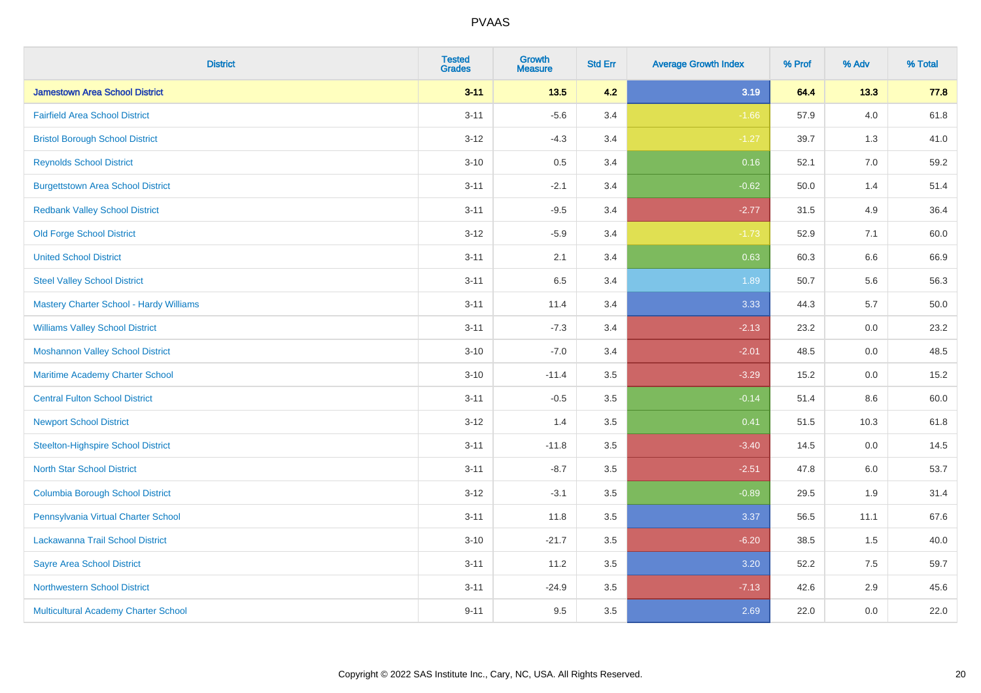| <b>District</b>                           | <b>Tested</b><br><b>Grades</b> | <b>Growth</b><br><b>Measure</b> | <b>Std Err</b> | <b>Average Growth Index</b> | % Prof | % Adv   | % Total  |
|-------------------------------------------|--------------------------------|---------------------------------|----------------|-----------------------------|--------|---------|----------|
| <b>Jamestown Area School District</b>     | $3 - 11$                       | $13.5$                          | 4.2            | 3.19                        | 64.4   | 13.3    | 77.8     |
| <b>Fairfield Area School District</b>     | $3 - 11$                       | $-5.6$                          | 3.4            | $-1.66$                     | 57.9   | 4.0     | 61.8     |
| <b>Bristol Borough School District</b>    | $3 - 12$                       | $-4.3$                          | 3.4            | $-1.27$                     | 39.7   | 1.3     | 41.0     |
| <b>Reynolds School District</b>           | $3 - 10$                       | 0.5                             | 3.4            | 0.16                        | 52.1   | 7.0     | 59.2     |
| <b>Burgettstown Area School District</b>  | $3 - 11$                       | $-2.1$                          | 3.4            | $-0.62$                     | 50.0   | 1.4     | 51.4     |
| <b>Redbank Valley School District</b>     | $3 - 11$                       | $-9.5$                          | 3.4            | $-2.77$                     | 31.5   | 4.9     | 36.4     |
| <b>Old Forge School District</b>          | $3 - 12$                       | $-5.9$                          | 3.4            | $-1.73$                     | 52.9   | 7.1     | 60.0     |
| <b>United School District</b>             | $3 - 11$                       | 2.1                             | 3.4            | 0.63                        | 60.3   | 6.6     | 66.9     |
| <b>Steel Valley School District</b>       | $3 - 11$                       | 6.5                             | 3.4            | 1.89                        | 50.7   | 5.6     | 56.3     |
| Mastery Charter School - Hardy Williams   | $3 - 11$                       | 11.4                            | 3.4            | 3.33                        | 44.3   | 5.7     | $50.0\,$ |
| <b>Williams Valley School District</b>    | $3 - 11$                       | $-7.3$                          | 3.4            | $-2.13$                     | 23.2   | 0.0     | 23.2     |
| <b>Moshannon Valley School District</b>   | $3 - 10$                       | $-7.0$                          | 3.4            | $-2.01$                     | 48.5   | 0.0     | 48.5     |
| Maritime Academy Charter School           | $3 - 10$                       | $-11.4$                         | 3.5            | $-3.29$                     | 15.2   | 0.0     | 15.2     |
| <b>Central Fulton School District</b>     | $3 - 11$                       | $-0.5$                          | 3.5            | $-0.14$                     | 51.4   | $8.6\,$ | 60.0     |
| <b>Newport School District</b>            | $3 - 12$                       | 1.4                             | 3.5            | 0.41                        | 51.5   | 10.3    | 61.8     |
| <b>Steelton-Highspire School District</b> | $3 - 11$                       | $-11.8$                         | 3.5            | $-3.40$                     | 14.5   | 0.0     | 14.5     |
| <b>North Star School District</b>         | $3 - 11$                       | $-8.7$                          | 3.5            | $-2.51$                     | 47.8   | 6.0     | 53.7     |
| <b>Columbia Borough School District</b>   | $3 - 12$                       | $-3.1$                          | 3.5            | $-0.89$                     | 29.5   | 1.9     | 31.4     |
| Pennsylvania Virtual Charter School       | $3 - 11$                       | 11.8                            | 3.5            | 3.37                        | 56.5   | 11.1    | 67.6     |
| Lackawanna Trail School District          | $3 - 10$                       | $-21.7$                         | 3.5            | $-6.20$                     | 38.5   | 1.5     | 40.0     |
| <b>Sayre Area School District</b>         | $3 - 11$                       | 11.2                            | 3.5            | 3.20                        | 52.2   | 7.5     | 59.7     |
| <b>Northwestern School District</b>       | $3 - 11$                       | $-24.9$                         | 3.5            | $-7.13$                     | 42.6   | 2.9     | 45.6     |
| Multicultural Academy Charter School      | $9 - 11$                       | 9.5                             | 3.5            | 2.69                        | 22.0   | 0.0     | 22.0     |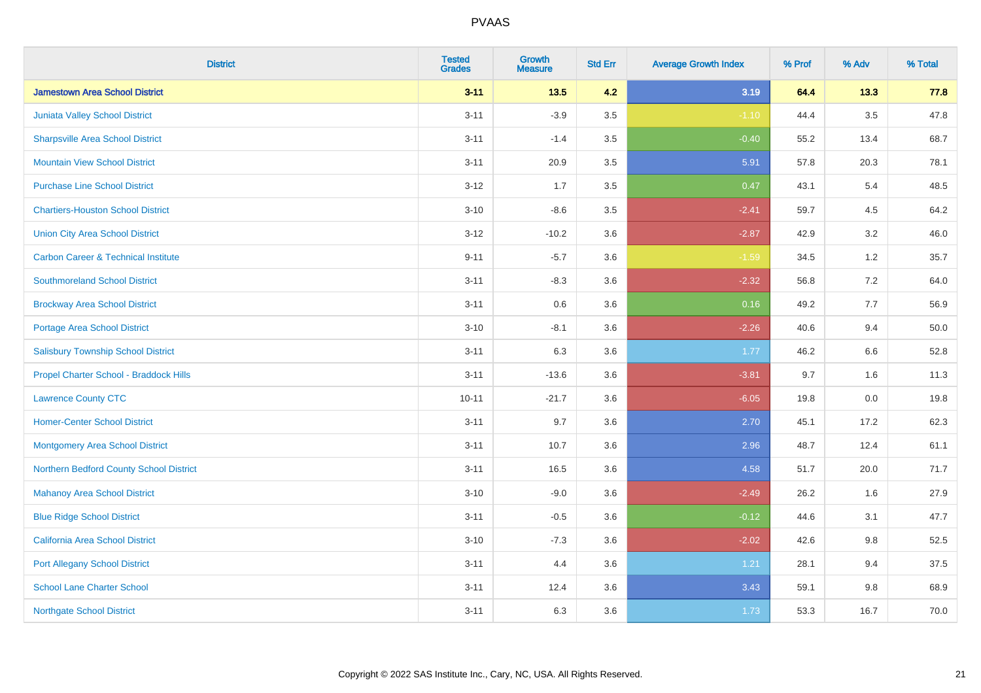| <b>District</b>                                | <b>Tested</b><br><b>Grades</b> | <b>Growth</b><br><b>Measure</b> | <b>Std Err</b> | <b>Average Growth Index</b> | % Prof | % Adv   | % Total |
|------------------------------------------------|--------------------------------|---------------------------------|----------------|-----------------------------|--------|---------|---------|
| <b>Jamestown Area School District</b>          | $3 - 11$                       | 13.5                            | 4.2            | 3.19                        | 64.4   | 13.3    | 77.8    |
| Juniata Valley School District                 | $3 - 11$                       | $-3.9$                          | 3.5            | $-1.10$                     | 44.4   | $3.5\,$ | 47.8    |
| <b>Sharpsville Area School District</b>        | $3 - 11$                       | $-1.4$                          | 3.5            | $-0.40$                     | 55.2   | 13.4    | 68.7    |
| <b>Mountain View School District</b>           | $3 - 11$                       | 20.9                            | 3.5            | 5.91                        | 57.8   | 20.3    | 78.1    |
| <b>Purchase Line School District</b>           | $3-12$                         | 1.7                             | 3.5            | 0.47                        | 43.1   | 5.4     | 48.5    |
| <b>Chartiers-Houston School District</b>       | $3 - 10$                       | $-8.6$                          | 3.5            | $-2.41$                     | 59.7   | 4.5     | 64.2    |
| <b>Union City Area School District</b>         | $3 - 12$                       | $-10.2$                         | 3.6            | $-2.87$                     | 42.9   | 3.2     | 46.0    |
| <b>Carbon Career &amp; Technical Institute</b> | $9 - 11$                       | $-5.7$                          | 3.6            | $-1.59$                     | 34.5   | $1.2$   | 35.7    |
| <b>Southmoreland School District</b>           | $3 - 11$                       | $-8.3$                          | 3.6            | $-2.32$                     | 56.8   | 7.2     | 64.0    |
| <b>Brockway Area School District</b>           | $3 - 11$                       | 0.6                             | 3.6            | 0.16                        | 49.2   | 7.7     | 56.9    |
| Portage Area School District                   | $3 - 10$                       | $-8.1$                          | 3.6            | $-2.26$                     | 40.6   | 9.4     | 50.0    |
| <b>Salisbury Township School District</b>      | $3 - 11$                       | 6.3                             | 3.6            | 1.77                        | 46.2   | 6.6     | 52.8    |
| Propel Charter School - Braddock Hills         | $3 - 11$                       | $-13.6$                         | 3.6            | $-3.81$                     | 9.7    | 1.6     | 11.3    |
| <b>Lawrence County CTC</b>                     | $10 - 11$                      | $-21.7$                         | 3.6            | $-6.05$                     | 19.8   | $0.0\,$ | 19.8    |
| <b>Homer-Center School District</b>            | $3 - 11$                       | 9.7                             | 3.6            | 2.70                        | 45.1   | 17.2    | 62.3    |
| <b>Montgomery Area School District</b>         | $3 - 11$                       | 10.7                            | 3.6            | 2.96                        | 48.7   | 12.4    | 61.1    |
| Northern Bedford County School District        | $3 - 11$                       | 16.5                            | 3.6            | 4.58                        | 51.7   | 20.0    | 71.7    |
| <b>Mahanoy Area School District</b>            | $3 - 10$                       | $-9.0$                          | 3.6            | $-2.49$                     | 26.2   | 1.6     | 27.9    |
| <b>Blue Ridge School District</b>              | $3 - 11$                       | $-0.5$                          | 3.6            | $-0.12$                     | 44.6   | 3.1     | 47.7    |
| California Area School District                | $3 - 10$                       | $-7.3$                          | 3.6            | $-2.02$                     | 42.6   | 9.8     | 52.5    |
| <b>Port Allegany School District</b>           | $3 - 11$                       | 4.4                             | 3.6            | 1.21                        | 28.1   | 9.4     | 37.5    |
| <b>School Lane Charter School</b>              | $3 - 11$                       | 12.4                            | 3.6            | 3.43                        | 59.1   | 9.8     | 68.9    |
| <b>Northgate School District</b>               | $3 - 11$                       | 6.3                             | 3.6            | 1.73                        | 53.3   | 16.7    | 70.0    |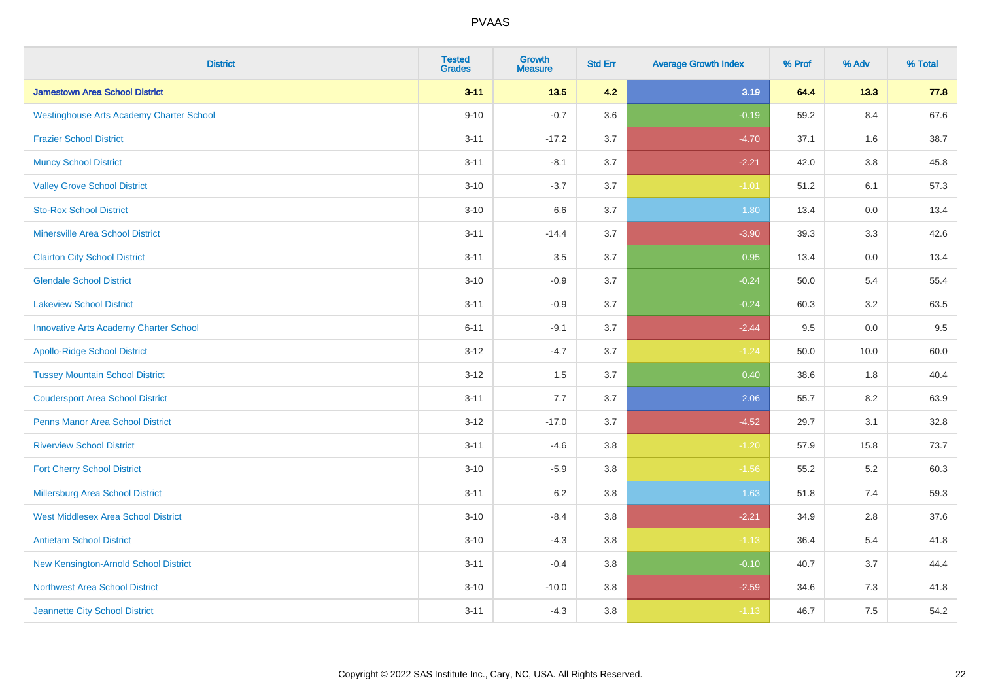| <b>District</b>                                 | <b>Tested</b><br><b>Grades</b> | <b>Growth</b><br><b>Measure</b> | <b>Std Err</b> | <b>Average Growth Index</b> | % Prof | % Adv   | % Total |
|-------------------------------------------------|--------------------------------|---------------------------------|----------------|-----------------------------|--------|---------|---------|
| <b>Jamestown Area School District</b>           | $3 - 11$                       | $13.5$                          | 4.2            | 3.19                        | 64.4   | 13.3    | 77.8    |
| <b>Westinghouse Arts Academy Charter School</b> | $9 - 10$                       | $-0.7$                          | 3.6            | $-0.19$                     | 59.2   | 8.4     | 67.6    |
| <b>Frazier School District</b>                  | $3 - 11$                       | $-17.2$                         | 3.7            | $-4.70$                     | 37.1   | 1.6     | 38.7    |
| <b>Muncy School District</b>                    | $3 - 11$                       | $-8.1$                          | 3.7            | $-2.21$                     | 42.0   | $3.8\,$ | 45.8    |
| <b>Valley Grove School District</b>             | $3 - 10$                       | $-3.7$                          | 3.7            | $-1.01$                     | 51.2   | 6.1     | 57.3    |
| <b>Sto-Rox School District</b>                  | $3 - 10$                       | 6.6                             | 3.7            | 1.80                        | 13.4   | 0.0     | 13.4    |
| <b>Minersville Area School District</b>         | $3 - 11$                       | $-14.4$                         | 3.7            | $-3.90$                     | 39.3   | 3.3     | 42.6    |
| <b>Clairton City School District</b>            | $3 - 11$                       | 3.5                             | 3.7            | 0.95                        | 13.4   | 0.0     | 13.4    |
| <b>Glendale School District</b>                 | $3 - 10$                       | $-0.9$                          | 3.7            | $-0.24$                     | 50.0   | 5.4     | 55.4    |
| <b>Lakeview School District</b>                 | $3 - 11$                       | $-0.9$                          | 3.7            | $-0.24$                     | 60.3   | $3.2\,$ | 63.5    |
| <b>Innovative Arts Academy Charter School</b>   | $6 - 11$                       | $-9.1$                          | 3.7            | $-2.44$                     | 9.5    | 0.0     | 9.5     |
| <b>Apollo-Ridge School District</b>             | $3 - 12$                       | $-4.7$                          | 3.7            | $-1.24$                     | 50.0   | 10.0    | 60.0    |
| <b>Tussey Mountain School District</b>          | $3 - 12$                       | 1.5                             | 3.7            | 0.40                        | 38.6   | 1.8     | 40.4    |
| <b>Coudersport Area School District</b>         | $3 - 11$                       | $7.7\,$                         | 3.7            | 2.06                        | 55.7   | 8.2     | 63.9    |
| <b>Penns Manor Area School District</b>         | $3 - 12$                       | $-17.0$                         | 3.7            | $-4.52$                     | 29.7   | 3.1     | 32.8    |
| <b>Riverview School District</b>                | $3 - 11$                       | $-4.6$                          | 3.8            | $-1.20$                     | 57.9   | 15.8    | 73.7    |
| <b>Fort Cherry School District</b>              | $3 - 10$                       | $-5.9$                          | 3.8            | $-1.56$                     | 55.2   | 5.2     | 60.3    |
| Millersburg Area School District                | $3 - 11$                       | $6.2\,$                         | 3.8            | 1.63                        | 51.8   | 7.4     | 59.3    |
| <b>West Middlesex Area School District</b>      | $3 - 10$                       | $-8.4$                          | $3.8\,$        | $-2.21$                     | 34.9   | 2.8     | 37.6    |
| <b>Antietam School District</b>                 | $3 - 10$                       | $-4.3$                          | 3.8            | $-1.13$                     | 36.4   | 5.4     | 41.8    |
| New Kensington-Arnold School District           | $3 - 11$                       | $-0.4$                          | 3.8            | $-0.10$                     | 40.7   | 3.7     | 44.4    |
| Northwest Area School District                  | $3 - 10$                       | $-10.0$                         | 3.8            | $-2.59$                     | 34.6   | 7.3     | 41.8    |
| Jeannette City School District                  | $3 - 11$                       | $-4.3$                          | 3.8            | $-1.13$                     | 46.7   | 7.5     | 54.2    |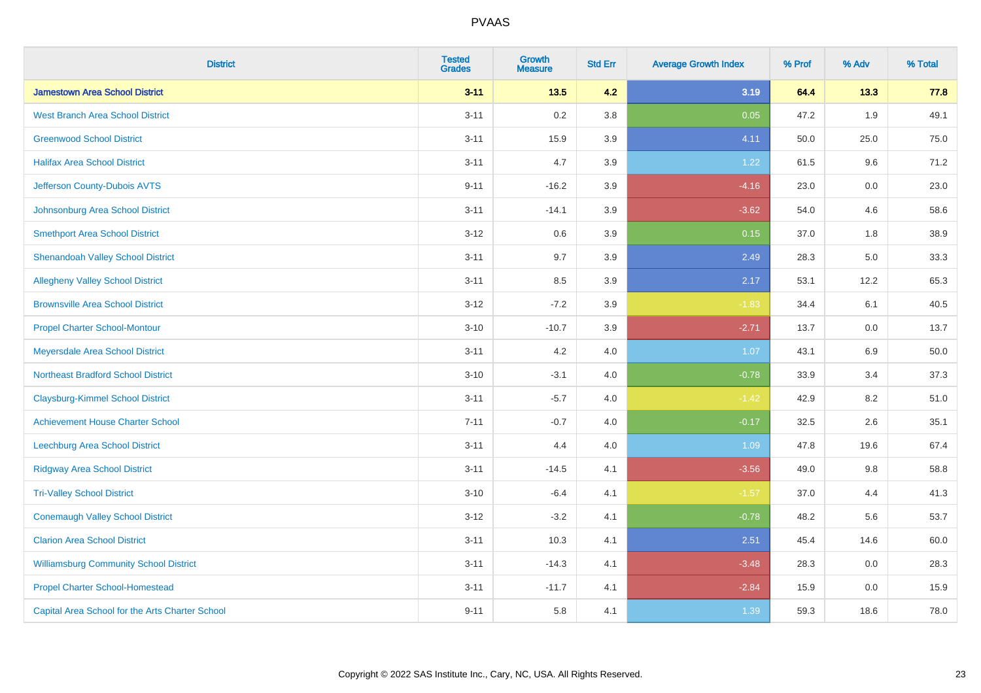| <b>District</b>                                 | <b>Tested</b><br><b>Grades</b> | <b>Growth</b><br><b>Measure</b> | <b>Std Err</b> | <b>Average Growth Index</b> | % Prof | % Adv | % Total |
|-------------------------------------------------|--------------------------------|---------------------------------|----------------|-----------------------------|--------|-------|---------|
| <b>Jamestown Area School District</b>           | $3 - 11$                       | 13.5                            | 4.2            | 3.19                        | 64.4   | 13.3  | 77.8    |
| <b>West Branch Area School District</b>         | $3 - 11$                       | 0.2                             | 3.8            | 0.05                        | 47.2   | 1.9   | 49.1    |
| <b>Greenwood School District</b>                | $3 - 11$                       | 15.9                            | 3.9            | 4.11                        | 50.0   | 25.0  | 75.0    |
| <b>Halifax Area School District</b>             | $3 - 11$                       | 4.7                             | 3.9            | 1.22                        | 61.5   | 9.6   | 71.2    |
| Jefferson County-Dubois AVTS                    | $9 - 11$                       | $-16.2$                         | 3.9            | $-4.16$                     | 23.0   | 0.0   | 23.0    |
| Johnsonburg Area School District                | $3 - 11$                       | $-14.1$                         | 3.9            | $-3.62$                     | 54.0   | 4.6   | 58.6    |
| <b>Smethport Area School District</b>           | $3-12$                         | 0.6                             | 3.9            | 0.15                        | 37.0   | 1.8   | 38.9    |
| <b>Shenandoah Valley School District</b>        | $3 - 11$                       | 9.7                             | 3.9            | 2.49                        | 28.3   | 5.0   | 33.3    |
| <b>Allegheny Valley School District</b>         | $3 - 11$                       | 8.5                             | 3.9            | 2.17                        | 53.1   | 12.2  | 65.3    |
| <b>Brownsville Area School District</b>         | $3 - 12$                       | $-7.2$                          | 3.9            | $-1.83$                     | 34.4   | 6.1   | 40.5    |
| <b>Propel Charter School-Montour</b>            | $3 - 10$                       | $-10.7$                         | 3.9            | $-2.71$                     | 13.7   | 0.0   | 13.7    |
| Meyersdale Area School District                 | $3 - 11$                       | 4.2                             | 4.0            | 1.07                        | 43.1   | 6.9   | 50.0    |
| <b>Northeast Bradford School District</b>       | $3 - 10$                       | $-3.1$                          | 4.0            | $-0.78$                     | 33.9   | 3.4   | 37.3    |
| <b>Claysburg-Kimmel School District</b>         | $3 - 11$                       | $-5.7$                          | 4.0            | $-1.42$                     | 42.9   | 8.2   | 51.0    |
| <b>Achievement House Charter School</b>         | $7 - 11$                       | $-0.7$                          | 4.0            | $-0.17$                     | 32.5   | 2.6   | 35.1    |
| Leechburg Area School District                  | $3 - 11$                       | 4.4                             | 4.0            | 1.09                        | 47.8   | 19.6  | 67.4    |
| <b>Ridgway Area School District</b>             | $3 - 11$                       | $-14.5$                         | 4.1            | $-3.56$                     | 49.0   | 9.8   | 58.8    |
| <b>Tri-Valley School District</b>               | $3 - 10$                       | $-6.4$                          | 4.1            | $-1.57$                     | 37.0   | 4.4   | 41.3    |
| <b>Conemaugh Valley School District</b>         | $3 - 12$                       | $-3.2$                          | 4.1            | $-0.78$                     | 48.2   | 5.6   | 53.7    |
| <b>Clarion Area School District</b>             | $3 - 11$                       | 10.3                            | 4.1            | 2.51                        | 45.4   | 14.6  | 60.0    |
| <b>Williamsburg Community School District</b>   | $3 - 11$                       | $-14.3$                         | 4.1            | $-3.48$                     | 28.3   | 0.0   | 28.3    |
| <b>Propel Charter School-Homestead</b>          | $3 - 11$                       | $-11.7$                         | 4.1            | $-2.84$                     | 15.9   | 0.0   | 15.9    |
| Capital Area School for the Arts Charter School | $9 - 11$                       | 5.8                             | 4.1            | 1.39                        | 59.3   | 18.6  | 78.0    |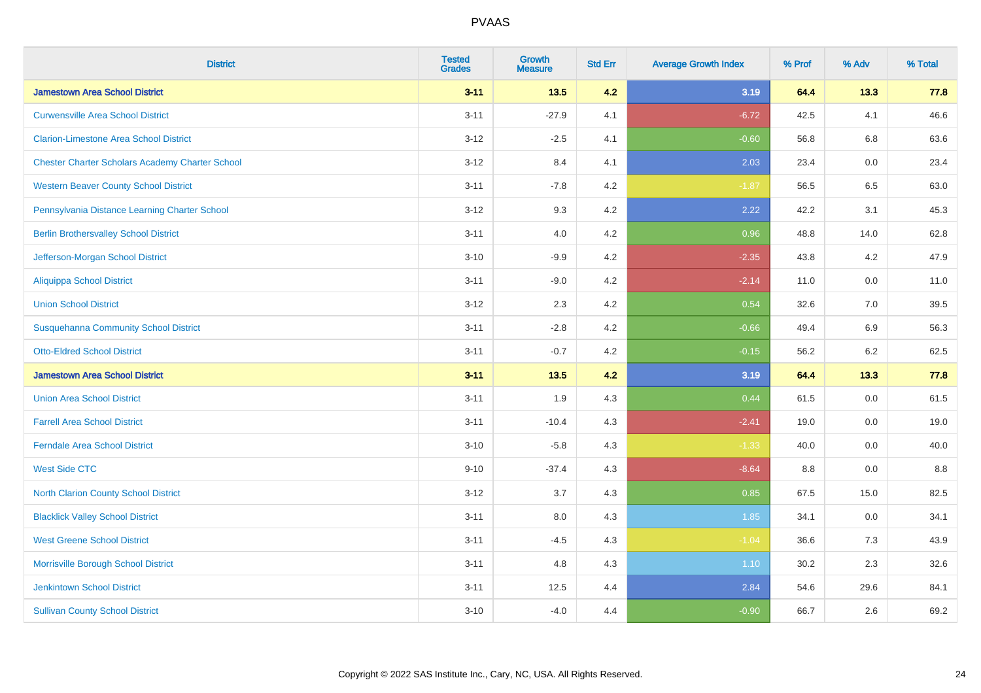| <b>District</b>                                        | <b>Tested</b><br><b>Grades</b> | <b>Growth</b><br><b>Measure</b> | <b>Std Err</b> | <b>Average Growth Index</b> | % Prof | % Adv | % Total |
|--------------------------------------------------------|--------------------------------|---------------------------------|----------------|-----------------------------|--------|-------|---------|
| <b>Jamestown Area School District</b>                  | $3 - 11$                       | $13.5$                          | 4.2            | 3.19                        | 64.4   | 13.3  | 77.8    |
| <b>Curwensville Area School District</b>               | $3 - 11$                       | $-27.9$                         | 4.1            | $-6.72$                     | 42.5   | 4.1   | 46.6    |
| <b>Clarion-Limestone Area School District</b>          | $3 - 12$                       | $-2.5$                          | 4.1            | $-0.60$                     | 56.8   | 6.8   | 63.6    |
| <b>Chester Charter Scholars Academy Charter School</b> | $3 - 12$                       | 8.4                             | 4.1            | 2.03                        | 23.4   | 0.0   | 23.4    |
| <b>Western Beaver County School District</b>           | $3 - 11$                       | $-7.8$                          | 4.2            | $-1.87$                     | 56.5   | 6.5   | 63.0    |
| Pennsylvania Distance Learning Charter School          | $3 - 12$                       | 9.3                             | 4.2            | 2.22                        | 42.2   | 3.1   | 45.3    |
| <b>Berlin Brothersvalley School District</b>           | $3 - 11$                       | 4.0                             | 4.2            | 0.96                        | 48.8   | 14.0  | 62.8    |
| Jefferson-Morgan School District                       | $3 - 10$                       | $-9.9$                          | 4.2            | $-2.35$                     | 43.8   | 4.2   | 47.9    |
| <b>Aliquippa School District</b>                       | $3 - 11$                       | $-9.0$                          | 4.2            | $-2.14$                     | 11.0   | 0.0   | 11.0    |
| <b>Union School District</b>                           | $3 - 12$                       | 2.3                             | 4.2            | 0.54                        | 32.6   | 7.0   | 39.5    |
| <b>Susquehanna Community School District</b>           | $3 - 11$                       | $-2.8$                          | 4.2            | $-0.66$                     | 49.4   | 6.9   | 56.3    |
| <b>Otto-Eldred School District</b>                     | $3 - 11$                       | $-0.7$                          | 4.2            | $-0.15$                     | 56.2   | 6.2   | 62.5    |
| <b>Jamestown Area School District</b>                  | $3 - 11$                       | 13.5                            | 4.2            | 3.19                        | 64.4   | 13.3  | 77.8    |
| <b>Union Area School District</b>                      | $3 - 11$                       | 1.9                             | 4.3            | 0.44                        | 61.5   | 0.0   | 61.5    |
| <b>Farrell Area School District</b>                    | $3 - 11$                       | $-10.4$                         | 4.3            | $-2.41$                     | 19.0   | 0.0   | 19.0    |
| <b>Ferndale Area School District</b>                   | $3 - 10$                       | $-5.8$                          | 4.3            | $-1.33$                     | 40.0   | 0.0   | 40.0    |
| <b>West Side CTC</b>                                   | $9 - 10$                       | $-37.4$                         | 4.3            | $-8.64$                     | 8.8    | 0.0   | 8.8     |
| <b>North Clarion County School District</b>            | $3 - 12$                       | 3.7                             | 4.3            | 0.85                        | 67.5   | 15.0  | 82.5    |
| <b>Blacklick Valley School District</b>                | $3 - 11$                       | 8.0                             | 4.3            | 1.85                        | 34.1   | 0.0   | 34.1    |
| <b>West Greene School District</b>                     | $3 - 11$                       | $-4.5$                          | 4.3            | $-1.04$                     | 36.6   | 7.3   | 43.9    |
| Morrisville Borough School District                    | $3 - 11$                       | 4.8                             | 4.3            | 1.10                        | 30.2   | 2.3   | 32.6    |
| <b>Jenkintown School District</b>                      | $3 - 11$                       | 12.5                            | 4.4            | 2.84                        | 54.6   | 29.6  | 84.1    |
| <b>Sullivan County School District</b>                 | $3 - 10$                       | $-4.0$                          | 4.4            | $-0.90$                     | 66.7   | 2.6   | 69.2    |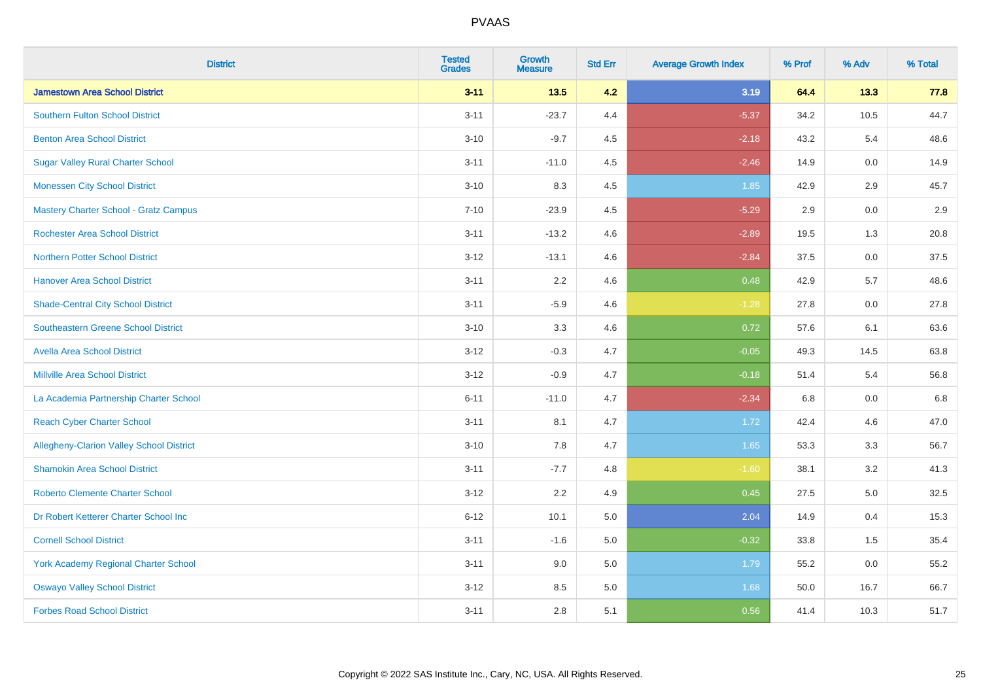| <b>District</b>                                 | <b>Tested</b><br><b>Grades</b> | <b>Growth</b><br><b>Measure</b> | <b>Std Err</b> | <b>Average Growth Index</b> | % Prof | % Adv   | % Total |
|-------------------------------------------------|--------------------------------|---------------------------------|----------------|-----------------------------|--------|---------|---------|
| <b>Jamestown Area School District</b>           | $3 - 11$                       | $13.5$                          | 4.2            | 3.19                        | 64.4   | 13.3    | 77.8    |
| <b>Southern Fulton School District</b>          | $3 - 11$                       | $-23.7$                         | 4.4            | $-5.37$                     | 34.2   | 10.5    | 44.7    |
| <b>Benton Area School District</b>              | $3 - 10$                       | $-9.7$                          | 4.5            | $-2.18$                     | 43.2   | 5.4     | 48.6    |
| <b>Sugar Valley Rural Charter School</b>        | $3 - 11$                       | $-11.0$                         | 4.5            | $-2.46$                     | 14.9   | $0.0\,$ | 14.9    |
| <b>Monessen City School District</b>            | $3 - 10$                       | 8.3                             | 4.5            | 1.85                        | 42.9   | 2.9     | 45.7    |
| <b>Mastery Charter School - Gratz Campus</b>    | $7 - 10$                       | $-23.9$                         | 4.5            | $-5.29$                     | 2.9    | 0.0     | 2.9     |
| <b>Rochester Area School District</b>           | $3 - 11$                       | $-13.2$                         | 4.6            | $-2.89$                     | 19.5   | 1.3     | 20.8    |
| <b>Northern Potter School District</b>          | $3 - 12$                       | $-13.1$                         | 4.6            | $-2.84$                     | 37.5   | 0.0     | 37.5    |
| <b>Hanover Area School District</b>             | $3 - 11$                       | 2.2                             | 4.6            | 0.48                        | 42.9   | 5.7     | 48.6    |
| <b>Shade-Central City School District</b>       | $3 - 11$                       | $-5.9$                          | 4.6            | $-1.28$                     | 27.8   | 0.0     | 27.8    |
| <b>Southeastern Greene School District</b>      | $3 - 10$                       | 3.3                             | 4.6            | 0.72                        | 57.6   | 6.1     | 63.6    |
| <b>Avella Area School District</b>              | $3 - 12$                       | $-0.3$                          | 4.7            | $-0.05$                     | 49.3   | 14.5    | 63.8    |
| <b>Millville Area School District</b>           | $3 - 12$                       | $-0.9$                          | 4.7            | $-0.18$                     | 51.4   | 5.4     | 56.8    |
| La Academia Partnership Charter School          | $6 - 11$                       | $-11.0$                         | 4.7            | $-2.34$                     | 6.8    | 0.0     | 6.8     |
| <b>Reach Cyber Charter School</b>               | $3 - 11$                       | 8.1                             | 4.7            | 1.72                        | 42.4   | 4.6     | 47.0    |
| <b>Allegheny-Clarion Valley School District</b> | $3 - 10$                       | 7.8                             | 4.7            | 1.65                        | 53.3   | 3.3     | 56.7    |
| <b>Shamokin Area School District</b>            | $3 - 11$                       | $-7.7$                          | 4.8            | $-1.60$                     | 38.1   | 3.2     | 41.3    |
| <b>Roberto Clemente Charter School</b>          | $3 - 12$                       | 2.2                             | 4.9            | 0.45                        | 27.5   | 5.0     | 32.5    |
| Dr Robert Ketterer Charter School Inc           | $6 - 12$                       | 10.1                            | 5.0            | 2.04                        | 14.9   | 0.4     | 15.3    |
| <b>Cornell School District</b>                  | $3 - 11$                       | $-1.6$                          | 5.0            | $-0.32$                     | 33.8   | 1.5     | 35.4    |
| York Academy Regional Charter School            | $3 - 11$                       | 9.0                             | 5.0            | 1.79                        | 55.2   | 0.0     | 55.2    |
| <b>Oswayo Valley School District</b>            | $3 - 12$                       | 8.5                             | 5.0            | 1.68                        | 50.0   | 16.7    | 66.7    |
| <b>Forbes Road School District</b>              | $3 - 11$                       | 2.8                             | 5.1            | 0.56                        | 41.4   | 10.3    | 51.7    |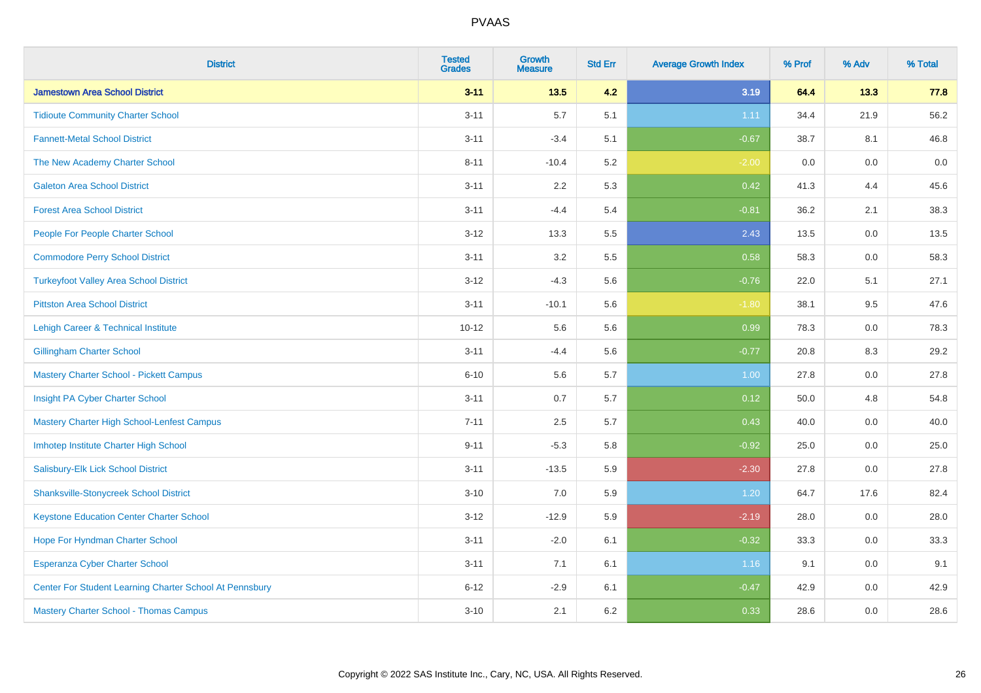| <b>District</b>                                         | <b>Tested</b><br><b>Grades</b> | <b>Growth</b><br><b>Measure</b> | <b>Std Err</b> | <b>Average Growth Index</b> | % Prof | % Adv   | % Total |
|---------------------------------------------------------|--------------------------------|---------------------------------|----------------|-----------------------------|--------|---------|---------|
| <b>Jamestown Area School District</b>                   | $3 - 11$                       | $13.5$                          | 4.2            | 3.19                        | 64.4   | 13.3    | 77.8    |
| <b>Tidioute Community Charter School</b>                | $3 - 11$                       | 5.7                             | 5.1            | 1.11                        | 34.4   | 21.9    | 56.2    |
| <b>Fannett-Metal School District</b>                    | $3 - 11$                       | $-3.4$                          | 5.1            | $-0.67$                     | 38.7   | 8.1     | 46.8    |
| The New Academy Charter School                          | $8 - 11$                       | $-10.4$                         | 5.2            | $-2.00$                     | 0.0    | $0.0\,$ | $0.0\,$ |
| <b>Galeton Area School District</b>                     | $3 - 11$                       | 2.2                             | 5.3            | 0.42                        | 41.3   | 4.4     | 45.6    |
| <b>Forest Area School District</b>                      | $3 - 11$                       | $-4.4$                          | 5.4            | $-0.81$                     | 36.2   | 2.1     | 38.3    |
| People For People Charter School                        | $3 - 12$                       | 13.3                            | 5.5            | 2.43                        | 13.5   | 0.0     | 13.5    |
| <b>Commodore Perry School District</b>                  | $3 - 11$                       | 3.2                             | 5.5            | 0.58                        | 58.3   | 0.0     | 58.3    |
| <b>Turkeyfoot Valley Area School District</b>           | $3-12$                         | $-4.3$                          | 5.6            | $-0.76$                     | 22.0   | 5.1     | 27.1    |
| <b>Pittston Area School District</b>                    | $3 - 11$                       | $-10.1$                         | 5.6            | $-1.80$                     | 38.1   | 9.5     | 47.6    |
| Lehigh Career & Technical Institute                     | $10 - 12$                      | 5.6                             | 5.6            | 0.99                        | 78.3   | 0.0     | 78.3    |
| <b>Gillingham Charter School</b>                        | $3 - 11$                       | $-4.4$                          | 5.6            | $-0.77$                     | 20.8   | 8.3     | 29.2    |
| <b>Mastery Charter School - Pickett Campus</b>          | $6 - 10$                       | 5.6                             | 5.7            | 1.00                        | 27.8   | 0.0     | 27.8    |
| Insight PA Cyber Charter School                         | $3 - 11$                       | 0.7                             | 5.7            | 0.12                        | 50.0   | 4.8     | 54.8    |
| Mastery Charter High School-Lenfest Campus              | $7 - 11$                       | 2.5                             | 5.7            | 0.43                        | 40.0   | 0.0     | 40.0    |
| Imhotep Institute Charter High School                   | $9 - 11$                       | $-5.3$                          | 5.8            | $-0.92$                     | 25.0   | 0.0     | 25.0    |
| Salisbury-Elk Lick School District                      | $3 - 11$                       | $-13.5$                         | 5.9            | $-2.30$                     | 27.8   | 0.0     | 27.8    |
| <b>Shanksville-Stonycreek School District</b>           | $3 - 10$                       | 7.0                             | 5.9            | 1.20                        | 64.7   | 17.6    | 82.4    |
| <b>Keystone Education Center Charter School</b>         | $3-12$                         | $-12.9$                         | 5.9            | $-2.19$                     | 28.0   | 0.0     | 28.0    |
| Hope For Hyndman Charter School                         | $3 - 11$                       | $-2.0$                          | 6.1            | $-0.32$                     | 33.3   | 0.0     | 33.3    |
| Esperanza Cyber Charter School                          | $3 - 11$                       | 7.1                             | 6.1            | 1.16                        | 9.1    | 0.0     | 9.1     |
| Center For Student Learning Charter School At Pennsbury | $6 - 12$                       | $-2.9$                          | 6.1            | $-0.47$                     | 42.9   | 0.0     | 42.9    |
| <b>Mastery Charter School - Thomas Campus</b>           | $3 - 10$                       | 2.1                             | 6.2            | 0.33                        | 28.6   | 0.0     | 28.6    |